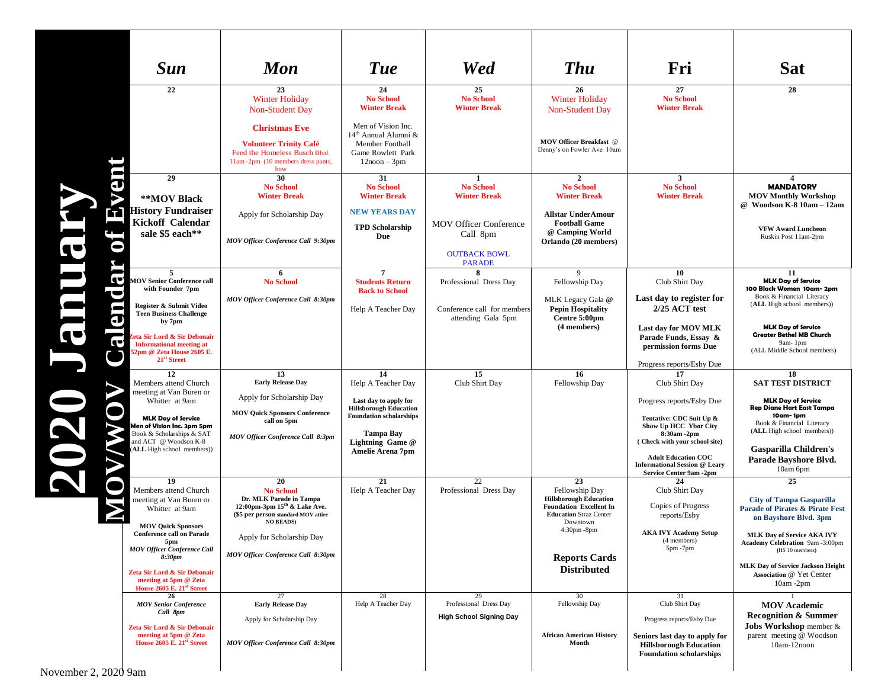|                     | <b>Sun</b>                                                                                                                                                                                                                                                                             | <b>Mon</b>                                                                                                                                                                                                        | <b>Tue</b>                                                                                                                                                                              | <b>Wed</b>                                                                                                                        | <b>Thu</b>                                                                                                                                                                                        | Fri                                                                                                                                                                                                                                                     | <b>Sat</b>                                                                                                                                                                                                                                                                               |
|---------------------|----------------------------------------------------------------------------------------------------------------------------------------------------------------------------------------------------------------------------------------------------------------------------------------|-------------------------------------------------------------------------------------------------------------------------------------------------------------------------------------------------------------------|-----------------------------------------------------------------------------------------------------------------------------------------------------------------------------------------|-----------------------------------------------------------------------------------------------------------------------------------|---------------------------------------------------------------------------------------------------------------------------------------------------------------------------------------------------|---------------------------------------------------------------------------------------------------------------------------------------------------------------------------------------------------------------------------------------------------------|------------------------------------------------------------------------------------------------------------------------------------------------------------------------------------------------------------------------------------------------------------------------------------------|
|                     | 22                                                                                                                                                                                                                                                                                     | 23<br><b>Winter Holiday</b><br>Non-Student Day<br><b>Christmas Eve</b><br><b>Volunteer Trinity Café</b><br>Feed the Homeless Busch Blvd.<br>11am -2pm (10 members dress pants,<br>bow                             | 24<br><b>No School</b><br><b>Winter Break</b><br>Men of Vision Inc.<br>14 <sup>th</sup> Annual Alumni &<br>Member Football<br>Game Rowlett Park<br>$12$ noon – $3$ pm                   | 25<br><b>No School</b><br><b>Winter Break</b>                                                                                     | 26<br><b>Winter Holiday</b><br>Non-Student Day<br><b>MOV Officer Breakfast</b> @<br>Denny's on Fowler Ave 10am                                                                                    | 27<br><b>No School</b><br><b>Winter Break</b>                                                                                                                                                                                                           | 28                                                                                                                                                                                                                                                                                       |
|                     | 29<br>**MOV Black<br><b>History Fundraiser</b><br>Kickoff Calendar<br>sale \$5 each**                                                                                                                                                                                                  | 30<br><b>No School</b><br><b>Winter Break</b><br>Apply for Scholarship Day<br><b>MOV Officer Conference Call 9:30pm</b>                                                                                           | 31<br><b>No School</b><br><b>Winter Break</b><br><b>NEW YEARS DAY</b><br><b>TPD Scholarship</b><br>Due                                                                                  | 1<br><b>No School</b><br><b>Winter Break</b><br><b>MOV Officer Conference</b><br>Call 8pm<br><b>OUTBACK BOWL</b><br><b>PARADE</b> | $\overline{2}$<br><b>No School</b><br><b>Winter Break</b><br><b>Allstar UnderAmour</b><br><b>Football Game</b><br>@ Camping World<br>Orlando (20 members)                                         | $\mathbf{3}$<br><b>No School</b><br><b>Winter Break</b>                                                                                                                                                                                                 | $\boldsymbol{\Delta}$<br><b>MANDATORY</b><br><b>MOV Monthly Workshop</b><br>@ Woodson K-8 10am - 12am<br><b>VFW Award Luncheon</b><br>Ruskin Post 11am-2pm                                                                                                                               |
| 59                  | 5<br><b>IOV Senior Conference call</b><br>with Founder 7pm<br>Register & Submit Video<br><b>Teen Business Challenge</b><br>by 7pm<br>eta Sir Lord & Sir Debonair<br><b>Informational meeting at</b><br>52pm @ Zeta House 2605 E.<br>21 <sup>st</sup> Street                            | 6<br><b>No School</b><br><b>MOV Officer Conference Call 8:30pm</b>                                                                                                                                                | 7<br><b>Students Return</b><br><b>Back to School</b><br>Help A Teacher Day                                                                                                              | Professional Dress Day<br>Conference call for members<br>attending Gala 5pm                                                       | 9<br>Fellowship Day<br>MLK Legacy Gala @<br><b>Pepin Hospitality</b><br>Centre 5:00pm<br>(4 members)                                                                                              | 10<br>Club Shirt Day<br>Last day to register for<br>$2/25$ ACT test<br>Last day for MOV MLK<br>Parade Funds, Essay &<br>permission forms Due<br>Progress reports/Esby Due                                                                               | 11<br><b>MLK Dav of Service</b><br>100 Black Women 10am-2pm<br>Book & Financial Literacy<br>(ALL High school members))<br><b>MLK Day of Service</b><br><b>Greater Bethel MB Church</b><br>9am-1pm<br>(ALL Middle School members)                                                         |
|                     | 12<br>Members attend Church<br>meeting at Van Buren or<br>Whitter at 9am<br><b>MLK Day of Service</b><br>Men of Vision Inc. 3pm 5pm<br>Book & Scholarships & SAT<br>and ACT @ Woodson K-8<br>ALL High school members))                                                                 | 13<br><b>Early Release Day</b><br>Apply for Scholarship Day<br><b>MOV Quick Sponsors Conference</b><br>call on 5pm<br>MOV Officer Conference Call 8:3pm                                                           | 14<br>Help A Teacher Day<br>Last day to apply for<br><b>Hillsborough Education</b><br><b>Foundation scholarships</b><br><b>Tampa Bay</b><br>Lightning Game @<br><b>Amelie Arena 7pm</b> | 15<br>Club Shirt Day                                                                                                              | 16<br>Fellowship Day                                                                                                                                                                              | 17<br>Club Shirt Day<br>Progress reports/Esby Due<br>Tentative: CDC Suit Up &<br>Show Up HCC Ybor City<br>8:30am -2pm<br>(Check with your school site)<br><b>Adult Education COC</b><br><b>Informational Session @ Learv</b><br>Service Center 9am -2pm | 18<br><b>SAT TEST DISTRICT</b><br><b>MLK Day of Service</b><br><b>Rep Diane Hart East Tampa</b><br>10am-1pm<br>Book & Financial Literacy<br>(ALL High school members))<br><b>Gasparilla Children's</b><br>Parade Bayshore Blvd.<br>10am 6pm                                              |
|                     | 19<br>Members attend Church<br>meeting at Van Buren or<br>Whitter at 9am<br><b>MOV Quick Sponsors</b><br><b>Conference call on Parade</b><br>5pm<br><b>MOV Officer Conference Call</b><br>8:30pm<br>Zeta Sir Lord & Sir Debonair<br>meeting at 5pm @ Zeta<br>House 2605 E. 21st Street | 20<br><b>No School</b><br>Dr. MLK Parade in Tampa<br>12:00pm-3pm $15th$ & Lake Ave.<br>(\$5 per person standard MOV attire<br><b>NO BEADS)</b><br>Apply for Scholarship Day<br>MOV Officer Conference Call 8:30pm | 21<br>Help A Teacher Day                                                                                                                                                                | 22<br>Professional Dress Day                                                                                                      | 23<br>Fellowship Day<br><b>Hillsborough Education</b><br><b>Foundation Excellent In</b><br><b>Education Straz Center</b><br>Downtown<br>4:30pm -8pm<br><b>Reports Cards</b><br><b>Distributed</b> | 24<br>Club Shirt Day<br>Copies of Progress<br>reports/Esby<br><b>AKA IVY Academy Setup</b><br>(4 members)<br>5pm -7pm                                                                                                                                   | 25<br><b>City of Tampa Gasparilla</b><br><b>Parade of Pirates &amp; Pirate Fest</b><br>on Bayshore Blvd. 3pm<br>MLK Day of Service AKA IVY<br>Academy Celebration 9am -3:00pm<br>(HS 10 members)<br><b>MLK Day of Service Jackson Height</b><br>Association @ Yet Center<br>$10am - 2pm$ |
| ovember 2. 2020 9am | <b>MOV Senior Conference</b><br>Call 8pm<br>Zeta Sir Lord & Sir Debonair<br>meeting at 5pm @ Zeta<br>House 2605 E. 21 <sup>st</sup> Street                                                                                                                                             | 27<br><b>Early Release Day</b><br>Apply for Scholarship Day<br><b>MOV Officer Conference Call 8:30pm</b>                                                                                                          | 28<br>Help A Teacher Day                                                                                                                                                                | 29<br>Professional Dress Day<br><b>High School Signing Day</b>                                                                    | 30<br>Fellowship Day<br><b>African American History</b><br>Month                                                                                                                                  | 31<br>Club Shirt Day<br>Progress reports/Esby Due<br>Seniors last day to apply for<br><b>Hillsborough Education</b><br><b>Foundation scholarships</b>                                                                                                   | <b>MOV</b> Academic<br><b>Recognition &amp; Summer</b><br>Jobs Workshop member &<br>parent meeting @ Woodson<br>$10am-12n$ oon                                                                                                                                                           |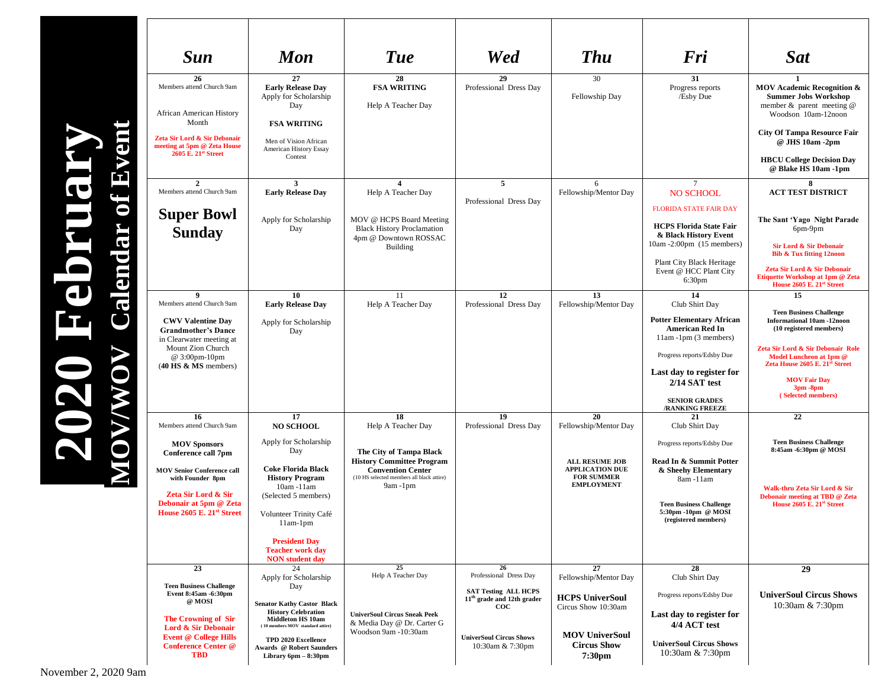| <b>Sun</b>                                                                         | <b>Mon</b>                                                                | <b>Tue</b>                                                                                                | <b>Wed</b>                                            | <b>Thu</b>                                                           | Fri                                                                              | <b>Sat</b>                                                                                                |
|------------------------------------------------------------------------------------|---------------------------------------------------------------------------|-----------------------------------------------------------------------------------------------------------|-------------------------------------------------------|----------------------------------------------------------------------|----------------------------------------------------------------------------------|-----------------------------------------------------------------------------------------------------------|
| 26<br>Members attend Church 9am                                                    | 27<br><b>Early Release Day</b><br>Apply for Scholarship<br>Day            | 28<br><b>FSA WRITING</b><br>Help A Teacher Day                                                            | 29<br>Professional Dress Day                          | 30<br>Fellowship Day                                                 | 31<br>Progress reports<br>/Esby Due                                              | <b>MOV Academic Recognition &amp;</b><br><b>Summer Jobs Workshop</b><br>member & parent meeting @         |
| African American History<br>Month                                                  | <b>FSA WRITING</b>                                                        |                                                                                                           |                                                       |                                                                      |                                                                                  | Woodson 10am-12noon                                                                                       |
| Zeta Sir Lord & Sir Debonair<br>meeting at 5pm @ Zeta House<br>2605 E. 21st Street | Men of Vision African<br><b>American History Essay</b>                    |                                                                                                           |                                                       |                                                                      |                                                                                  | <b>City Of Tampa Resource Fair</b><br>@ JHS 10am -2pm                                                     |
|                                                                                    | Contest                                                                   |                                                                                                           |                                                       |                                                                      |                                                                                  | <b>HBCU College Decision Day</b><br>@ Blake HS 10am -1pm                                                  |
| $\overline{2}$<br>Members attend Church 9am                                        | 3<br><b>Early Release Day</b>                                             | $\overline{\mathbf{4}}$<br>Help A Teacher Day                                                             | 5                                                     | 6<br>Fellowship/Mentor Day                                           | $\tau$<br><b>NO SCHOOL</b>                                                       | 8<br><b>ACT TEST DISTRICT</b>                                                                             |
|                                                                                    |                                                                           |                                                                                                           | Professional Dress Day                                |                                                                      | <b>FLORIDA STATE FAIR DAY</b>                                                    |                                                                                                           |
| <b>Super Bowl</b><br><b>Sunday</b>                                                 | Apply for Scholarship<br>Day                                              | MOV @ HCPS Board Meeting<br><b>Black History Proclamation</b><br>4pm @ Downtown ROSSAC                    |                                                       |                                                                      | <b>HCPS Florida State Fair</b><br>& Black History Event                          | The Sant 'Yago Night Parade<br>6pm-9pm                                                                    |
|                                                                                    |                                                                           | <b>Building</b>                                                                                           |                                                       |                                                                      | 10am -2:00pm (15 members)                                                        | Sir Lord & Sir Debonair<br><b>Bib &amp; Tux fitting 12noon</b>                                            |
|                                                                                    |                                                                           |                                                                                                           |                                                       |                                                                      | <b>Plant City Black Heritage</b><br>Event @ HCC Plant City<br>6:30 <sub>pm</sub> | Zeta Sir Lord & Sir Debonair<br>Etiquette Workshop at 1pm @ Zeta<br>House 2605 E. 21 <sup>st</sup> Street |
| 9<br>Members attend Church 9am                                                     | 10<br><b>Early Release Day</b>                                            | 11<br>Help A Teacher Day                                                                                  | 12<br>Professional Dress Day                          | 13<br>Fellowship/Mentor Day                                          | 14<br>Club Shirt Day                                                             | 15                                                                                                        |
| <b>CWV Valentine Day</b><br><b>Grandmother's Dance</b>                             | Apply for Scholarship<br>Day                                              |                                                                                                           |                                                       |                                                                      | <b>Potter Elementary African</b><br><b>American Red In</b>                       | <b>Teen Business Challenge</b><br><b>Informational 10am -12noon</b><br>(10 registered members)            |
| in Clearwater meeting at<br>Mount Zion Church<br>@ 3:00pm-10pm                     |                                                                           |                                                                                                           |                                                       |                                                                      | $11am - 1pm (3 members)$<br>Progress reports/Edsby Due                           | Zeta Sir Lord & Sir Debonair Role<br>Model Luncheon at 1pm @<br>Zeta House 2605 E. 21st Street            |
| $(40$ HS $\&$ MS members)                                                          |                                                                           |                                                                                                           |                                                       |                                                                      | Last day to register for<br>2/14 SAT test                                        | <b>MOV Fair Day</b><br>$3pm - 8pm$                                                                        |
|                                                                                    |                                                                           |                                                                                                           |                                                       |                                                                      | <b>SENIOR GRADES</b><br>/RANKING FREEZE                                          | (Selected members)                                                                                        |
| 16<br>Members attend Church 9am                                                    | 17<br><b>NO SCHOOL</b>                                                    | 18<br>Help A Teacher Day                                                                                  | 19<br>Professional Dress Day                          | 20<br>Fellowship/Mentor Day                                          | 21<br>Club Shirt Day                                                             | 22                                                                                                        |
|                                                                                    | Apply for Scholarship                                                     |                                                                                                           |                                                       |                                                                      | Progress reports/Edsby Due                                                       | <b>Teen Business Challenge</b>                                                                            |
| <b>MOV Sponsors</b><br><b>Conference call 7pm</b>                                  | Day                                                                       | The City of Tampa Black                                                                                   |                                                       |                                                                      |                                                                                  | 8:45am -6:30pm @ MOSI                                                                                     |
| <b>MOV Senior Conference call</b><br>with Founder 8pm                              | <b>Coke Florida Black</b><br><b>History Program</b>                       | <b>History Committee Program</b><br><b>Convention Center</b><br>(10 HS selected members all black attire) |                                                       | <b>ALL RESUME JOB</b><br><b>APPLICATION DUE</b><br><b>FOR SUMMER</b> | Read In & Summit Potter<br>& Sheehy Elementary<br>8am -11am                      |                                                                                                           |
| Zeta Sir Lord & Sir                                                                | $10am - 11am$<br>(Selected 5 members)                                     | $9am - 1pm$                                                                                               |                                                       | <b>EMPLOYMENT</b>                                                    |                                                                                  | Walk-thru Zeta Sir Lord & Sir<br>Debonair meeting at TBD @ Zeta                                           |
| Debonair at 5pm @ Zeta<br>House 2605 E. 21st Street                                | Volunteer Trinity Café<br>$11am-1pm$                                      |                                                                                                           |                                                       |                                                                      | <b>Teen Business Challenge</b><br>5:30pm -10pm @ MOSI<br>(registered members)    | House 2605 E. 21 <sup>st</sup> Street                                                                     |
|                                                                                    | <b>President Dav</b><br><b>Teacher work day</b><br><b>NON</b> student day |                                                                                                           |                                                       |                                                                      |                                                                                  |                                                                                                           |
| 23                                                                                 | 24                                                                        | 25                                                                                                        | 26                                                    | 27                                                                   | 28                                                                               | 29                                                                                                        |
| <b>Teen Business Challenge</b><br>Event 8:45am -6:30pm                             | Apply for Scholarship<br>Day                                              | Help A Teacher Day                                                                                        | Professional Dress Day<br><b>SAT Testing ALL HCPS</b> | Fellowship/Mentor Day                                                | Club Shirt Day<br>Progress reports/Edsby Due                                     | <b>UniverSoul Circus Shows</b>                                                                            |
| @ MOSI                                                                             | <b>Senator Kathy Castor Black</b><br><b>History Celebration</b>           | <b>UniverSoul Circus Sneak Peek</b>                                                                       | 11 <sup>th</sup> grade and 12th grader<br>$\bf{co}$   | <b>HCPS UniverSoul</b><br>Circus Show 10:30am                        | Last day to register for                                                         | 10:30am & 7:30pm                                                                                          |
| The Crowning of Sir<br><b>Lord &amp; Sir Debonair</b>                              | <b>Middleton HS 10am</b><br>(10 members MOV standard attire)              | & Media Day @ Dr. Carter G                                                                                |                                                       |                                                                      | 4/4 ACT test                                                                     |                                                                                                           |
| <b>Event @ College Hills</b><br><b>Conference Center @</b><br><b>TBD</b>           | TPD 2020 Excellence<br>Awards @ Robert Saunders<br>Library 6pm - 8:30pm   | Woodson 9am -10:30am                                                                                      | <b>UniverSoul Circus Shows</b><br>10:30am & 7:30pm    | <b>MOV UniverSoul</b><br><b>Circus Show</b><br>7:30pm                | <b>UniverSoul Circus Shows</b><br>10:30am & 7:30pm                               |                                                                                                           |

**2020 February MOV/WOV Calendar of Event** 2020 Februa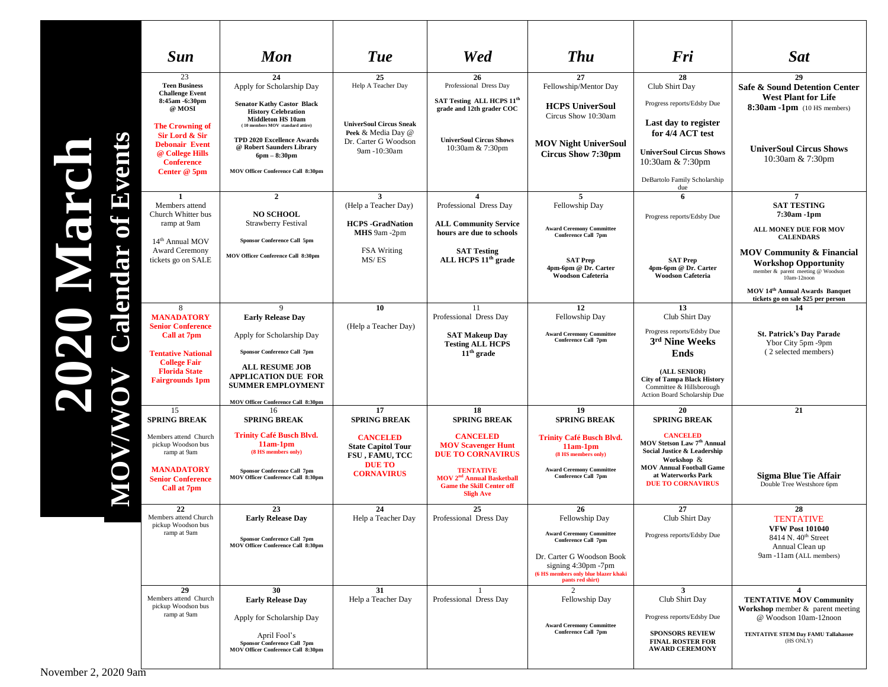|                              | <b>Sun</b>                                                                                                                                                                                               | <b>Mon</b>                                                                                                                                                                                                                                             | <b>Tue</b>                                                                                                               | Wed                                                                                                                                                                                           | <b>Thu</b>                                                                                                                                                                                                      | Fri                                                                                                                                                                                    | <b>Sat</b>                                                                                                                                                              |
|------------------------------|----------------------------------------------------------------------------------------------------------------------------------------------------------------------------------------------------------|--------------------------------------------------------------------------------------------------------------------------------------------------------------------------------------------------------------------------------------------------------|--------------------------------------------------------------------------------------------------------------------------|-----------------------------------------------------------------------------------------------------------------------------------------------------------------------------------------------|-----------------------------------------------------------------------------------------------------------------------------------------------------------------------------------------------------------------|----------------------------------------------------------------------------------------------------------------------------------------------------------------------------------------|-------------------------------------------------------------------------------------------------------------------------------------------------------------------------|
|                              |                                                                                                                                                                                                          |                                                                                                                                                                                                                                                        |                                                                                                                          |                                                                                                                                                                                               |                                                                                                                                                                                                                 |                                                                                                                                                                                        |                                                                                                                                                                         |
| 3<br>$\overline{\mathbf{5}}$ | 23<br><b>Teen Business</b><br><b>Challenge Event</b><br>8:45am -6:30pm<br>@ MOSI<br><b>The Crowning of</b><br><b>Sir Lord &amp; Sir</b><br><b>Debonair Event</b><br>@ College Hills<br><b>Conference</b> | 24<br>Apply for Scholarship Day<br><b>Senator Kathy Castor Black</b><br><b>History Celebration</b><br><b>Middleton HS 10am</b><br>(10 members MOV standard attire)<br><b>TPD 2020 Excellence Awards</b><br>@ Robert Saunders Library<br>$6pm - 8:30pm$ | 25<br>Help A Teacher Day<br><b>UniverSoul Circus Sneak</b><br>Peek & Media Day @<br>Dr. Carter G Woodson<br>9am -10:30am | 26<br>Professional Dress Day<br>SAT Testing ALL HCPS 11 <sup>th</sup><br>grade and 12th grader COC<br><b>UniverSoul Circus Shows</b><br>10:30am & 7:30pm                                      | 27<br>Fellowship/Mentor Day<br><b>HCPS UniverSoul</b><br>Circus Show 10:30am<br><b>MOV Night UniverSoul</b><br><b>Circus Show 7:30pm</b>                                                                        | 28<br>Club Shirt Day<br>Progress reports/Edsby Due<br>Last day to register<br>for 4/4 ACT test<br><b>UniverSoul Circus Shows</b><br>10:30am & 7:30pm                                   | 29<br>Safe & Sound Detention Center<br><b>West Plant for Life</b><br>8:30am -1pm (10 HS members)<br><b>UniverSoul Circus Shows</b><br>10:30am & 7:30pm                  |
|                              | Center @ 5pm                                                                                                                                                                                             | <b>MOV Officer Conference Call 8:30pm</b>                                                                                                                                                                                                              |                                                                                                                          |                                                                                                                                                                                               |                                                                                                                                                                                                                 | DeBartolo Family Scholarship<br>due                                                                                                                                                    |                                                                                                                                                                         |
| 5<br>$\bar{\vec{e}}$         | 1<br>Members attend<br>Church Whitter bus<br>ramp at 9am<br>14 <sup>th</sup> Annual MOV<br><b>Award Ceremony</b><br>tickets go on SALE                                                                   | $\overline{2}$<br><b>NO SCHOOL</b><br>Strawberry Festival<br>Sponsor Conference Call 5pm<br>MOV Officer Conference Call 8:30pm                                                                                                                         | $\overline{\mathbf{3}}$<br>(Help a Teacher Day)<br><b>HCPS</b> -GradNation<br>MHS 9am -2pm<br>FSA Writing<br>MS/ES       | $\overline{\mathbf{4}}$<br>Professional Dress Day<br><b>ALL Community Service</b><br>hours are due to schools<br><b>SAT Testing</b><br>ALL HCPS 11 <sup>th</sup> grade                        | 5<br>Fellowship Day<br><b>Award Ceremony Committee</b><br><b>Conference Call 7pm</b><br><b>SAT Prep</b><br>4pm-6pm @ Dr. Carter                                                                                 | -6<br>Progress reports/Edsby Due<br><b>SAT Prep</b><br>4pm-6pm @ Dr. Carter                                                                                                            | $\overline{7}$<br><b>SAT TESTING</b><br>7:30am -1pm<br>ALL MONEY DUE FOR MOV<br><b>CALENDARS</b><br><b>MOV Community &amp; Financial</b><br><b>Workshop Opportunity</b> |
| БЩИ                          |                                                                                                                                                                                                          |                                                                                                                                                                                                                                                        |                                                                                                                          |                                                                                                                                                                                               | Woodson Cafeteria                                                                                                                                                                                               | <b>Woodson Cafeteria</b>                                                                                                                                                               | member & parent meeting @ Woodson<br>$10am-12noon$<br>MOV 14 <sup>th</sup> Annual Awards Banquet<br>tickets go on sale \$25 per person                                  |
| $\frac{1}{2}$                | 8<br><b>MANADATORY</b><br><b>Senior Conference</b>                                                                                                                                                       | <b>Early Release Day</b>                                                                                                                                                                                                                               | 10<br>(Help a Teacher Day)                                                                                               | -11<br>Professional Dress Day                                                                                                                                                                 | 12<br>Fellowship Day                                                                                                                                                                                            | 13<br>Club Shirt Day<br>Progress reports/Edsby Due                                                                                                                                     | 14                                                                                                                                                                      |
|                              | <b>Call at 7pm</b><br><b>Tentative National</b><br><b>College Fair</b><br><b>Florida State</b><br><b>Fairgrounds 1pm</b>                                                                                 | Apply for Scholarship Day<br><b>Sponsor Conference Call 7pm</b><br><b>ALL RESUME JOB</b><br><b>APPLICATION DUE FOR</b><br><b>SUMMER EMPLOYMENT</b><br>MOV Officer Conference Call 8:30pm                                                               |                                                                                                                          | <b>SAT Makeup Day</b><br><b>Testing ALL HCPS</b><br>$11th$ grade                                                                                                                              | <b>Award Ceremony Committee</b><br><b>Conference Call 7pm</b>                                                                                                                                                   | 3rd Nine Weeks<br>Ends<br>(ALL SENIOR)<br><b>City of Tampa Black History</b><br>Committee & Hillsborough<br>Action Board Scholarship Due                                               | <b>St. Patrick's Day Parade</b><br>Ybor City 5pm -9pm<br>(2 selected members)                                                                                           |
|                              | 15<br><b>SPRING BREAK</b>                                                                                                                                                                                | 16<br><b>SPRING BREAK</b>                                                                                                                                                                                                                              | 17<br><b>SPRING BREAK</b>                                                                                                | 18<br><b>SPRING BREAK</b>                                                                                                                                                                     | 19<br><b>SPRING BREAK</b>                                                                                                                                                                                       | 20<br><b>SPRING BREAK</b>                                                                                                                                                              | 21                                                                                                                                                                      |
|                              | Members attend Church<br>pickup Woodson bus<br>ramp at 9am<br><b>MANADATORY</b><br><b>Senior Conference</b><br>Call at 7pm                                                                               | <b>Trinity Café Busch Blvd.</b><br>$11am-1pm$<br>(8 HS members only)<br>Sponsor Conference Call 7pm<br>MOV Officer Conference Call 8:30pm                                                                                                              | <b>CANCELED</b><br><b>State Capitol Tour</b><br>FSU, FAMU, TCC<br><b>DUE TO</b><br><b>CORNAVIRUS</b>                     | <b>CANCELED</b><br><b>MOV Scavenger Hunt</b><br><b>DUE TO CORNAVIRUS</b><br><b>TENTATIVE</b><br>MOV 2 <sup>nd</sup> Annual Basketball<br><b>Game the Skill Center off</b><br><b>Sligh Ave</b> | <b>Trinity Café Busch Blvd.</b><br>$11am-1pm$<br>(8 HS members only)<br><b>Award Ceremony Committee</b><br>Conference Call 7pm                                                                                  | <b>CANCELED</b><br><b>MOV Stetson Law 7th Annual</b><br>Social Justice & Leadership<br>Workshop &<br><b>MOV Annual Football Game</b><br>at Waterworks Park<br><b>DUE TO CORNAVIRUS</b> | Sigma Blue Tie Affair<br>Double Tree Westshore 6pm                                                                                                                      |
|                              | 22<br>Members attend Church<br>pickup Woodson bus<br>ramp at 9am                                                                                                                                         | 23<br><b>Early Release Day</b><br>Sponsor Conference Call 7pm<br>MOV Officer Conference Call 8:30pm                                                                                                                                                    | 24<br>Help a Teacher Day                                                                                                 | 25<br>Professional Dress Day                                                                                                                                                                  | 26<br>Fellowship Day<br><b>Award Ceremony Committee</b><br><b>Conference Call 7pm</b><br>Dr. Carter G Woodson Book<br>signing $4:30 \text{pm}$ -7pm<br>(6 HS members only blue blazer khaki<br>pants red shirt) | 27<br>Club Shirt Day<br>Progress reports/Edsby Due                                                                                                                                     | 28<br>TENTATIVE<br><b>VFW Post 101040</b><br>8414 N. 40 <sup>th</sup> Street<br>Annual Clean up<br>9am -11am (ALL members)                                              |
|                              | 29<br>Members attend Church<br>pickup Woodson bus<br>ramp at 9am                                                                                                                                         | 30<br><b>Early Release Day</b><br>Apply for Scholarship Day<br>April Fool's<br>Sponsor Conference Call 7pm<br>MOV Officer Conference Call 8:30pm                                                                                                       | 31<br>Help a Teacher Day                                                                                                 | Professional Dress Day                                                                                                                                                                        | 2<br>Fellowship Day<br><b>Award Ceremony Committee</b><br>Conference Call 7pm                                                                                                                                   | $\mathbf{3}$<br>Club Shirt Day<br>Progress reports/Edsby Due<br><b>SPONSORS REVIEW</b><br><b>FINAL ROSTER FOR</b><br><b>AWARD CEREMONY</b>                                             | 4<br><b>TENTATIVE MOV Community</b><br>Workshop member & parent meeting<br>@ Woodson 10am-12noon<br><b>TENTATIVE STEM Day FAMU Tallahassee</b><br>(HS ONLY)             |

**2020 March MOV/WOV Calendar of Events**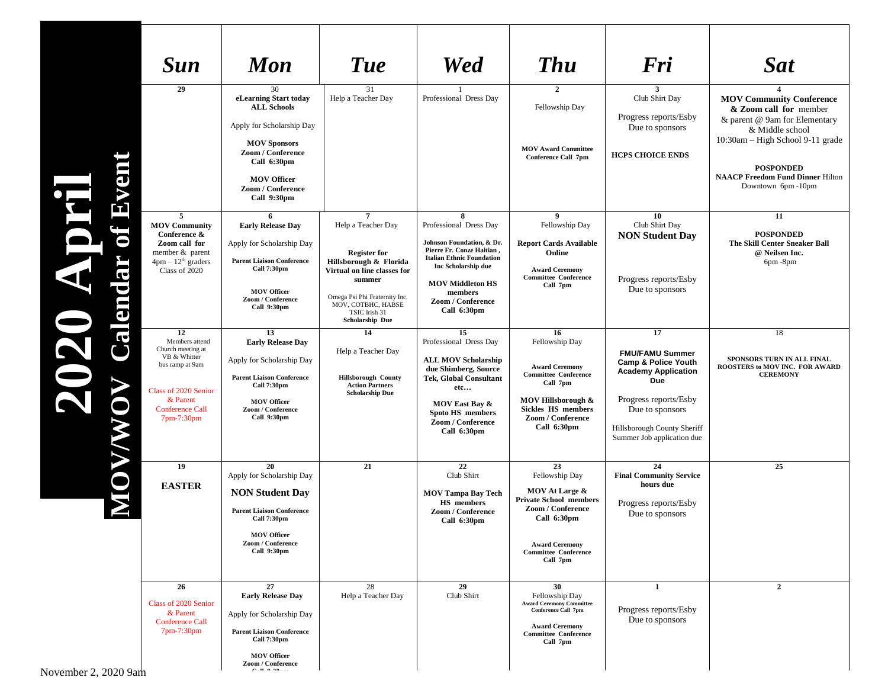| <b>Sun</b>                                                                                                                                                 | <b>Mon</b>                                                                                                                                                                                          | <b>Tue</b>                                                                                                                                                                                                                | <b>Wed</b>                                                                                                                                                                                                                 | <b>Thu</b>                                                                                                                                                                             | Fri                                                                                                                                                                                                          | <b>Sat</b>                                                                                                                                                                                                                            |
|------------------------------------------------------------------------------------------------------------------------------------------------------------|-----------------------------------------------------------------------------------------------------------------------------------------------------------------------------------------------------|---------------------------------------------------------------------------------------------------------------------------------------------------------------------------------------------------------------------------|----------------------------------------------------------------------------------------------------------------------------------------------------------------------------------------------------------------------------|----------------------------------------------------------------------------------------------------------------------------------------------------------------------------------------|--------------------------------------------------------------------------------------------------------------------------------------------------------------------------------------------------------------|---------------------------------------------------------------------------------------------------------------------------------------------------------------------------------------------------------------------------------------|
| 29                                                                                                                                                         | 30<br>eLearning Start today<br><b>ALL Schools</b><br>Apply for Scholarship Day<br><b>MOV Sponsors</b><br>Zoom / Conference<br>Call 6:30pm<br><b>MOV Officer</b><br>Zoom / Conference<br>Call 9:30pm | 31<br>Help a Teacher Day                                                                                                                                                                                                  | Professional Dress Day                                                                                                                                                                                                     | Fellowship Day<br><b>MOV Award Committee</b><br><b>Conference Call 7pm</b>                                                                                                             | Club Shirt Day<br>Progress reports/Esby<br>Due to sponsors<br><b>HCPS CHOICE ENDS</b>                                                                                                                        | <b>MOV Community Conference</b><br>& Zoom call for member<br>& parent @ 9am for Elementary<br>& Middle school<br>10:30am - High School 9-11 grade<br><b>POSPONDED</b><br><b>NAACP Freedom Fund Dinner Hilton</b><br>Downtown 6pm-10pm |
| 5<br><b>MOV Community</b><br>Conference &<br>Zoom call for<br>member & parent<br>$4 \text{pm} - 12^{\text{th}}$ graders<br>Class of 2020                   | 6<br><b>Early Release Day</b><br>Apply for Scholarship Day<br><b>Parent Liaison Conference</b><br>Call 7:30pm<br><b>MOV Officer</b><br>Zoom / Conference<br>Call 9:30pm                             | $\overline{7}$<br>Help a Teacher Day<br><b>Register for</b><br>Hillsborough & Florida<br>Virtual on line classes for<br>summer<br>Omega Psi Phi Fraternity Inc.<br>MOV, COTBHC, HABSE<br>TSIC Irish 31<br>Scholarship Due | 8<br>Professional Dress Day<br>Johnson Foundation, & Dr.<br>Pierre Fr. Conze Haitian,<br><b>Italian Ethnic Foundation</b><br>Inc Scholarship due<br><b>MOV Middleton HS</b><br>members<br>Zoom / Conference<br>Call 6:30pm | 9<br>Fellowship Day<br><b>Report Cards Available</b><br>Online<br><b>Award Ceremony</b><br><b>Committee Conference</b><br>Call 7pm                                                     | 10<br>Club Shirt Day<br><b>NON Student Day</b><br>Progress reports/Esby<br>Due to sponsors                                                                                                                   | 11<br><b>POSPONDED</b><br><b>The Skill Center Sneaker Ball</b><br>@ Neilsen Inc.<br>6pm -8pm                                                                                                                                          |
| 12<br>Members attend<br>Church meeting at<br>VB & Whitter<br>bus ramp at 9am<br>Class of 2020 Senior<br>& Parent<br><b>Conference Call</b><br>$7pm-7:30pm$ | 13<br><b>Early Release Day</b><br>Apply for Scholarship Day<br><b>Parent Liaison Conference</b><br>Call 7:30pm<br><b>MOV Officer</b><br>Zoom / Conference<br>Call 9:30pm                            | 14<br>Help a Teacher Day<br><b>Hillsborough County</b><br><b>Action Partners</b><br><b>Scholarship Due</b>                                                                                                                | 15<br>Professional Dress Day<br><b>ALL MOV Scholarship</b><br>due Shimberg, Source<br><b>Tek, Global Consultant</b><br>etc<br>MOV East Bay &<br>Spoto HS members<br>Zoom / Conference<br>Call 6:30pm                       | 16<br>Fellowship Day<br><b>Award Ceremony</b><br><b>Committee Conference</b><br>Call 7pm<br>MOV Hillsborough &<br><b>Sickles HS members</b><br>Zoom / Conference<br>Call 6:30pm        | 17<br><b>FMU/FAMU Summer</b><br><b>Camp &amp; Police Youth</b><br><b>Academy Application</b><br>Due<br>Progress reports/Esby<br>Due to sponsors<br>Hillsborough County Sheriff<br>Summer Job application due | 18<br>SPONSORS TURN IN ALL FINAL<br>ROOSTERS to MOV INC. FOR AWARD<br><b>CEREMONY</b>                                                                                                                                                 |
| 19<br><b>EASTER</b>                                                                                                                                        | 20<br>Apply for Scholarship Day<br><b>NON Student Day</b><br><b>Parent Liaison Conference</b><br>Call 7:30pm<br><b>MOV Officer</b><br>Zoom / Conference<br>Call 9:30pm                              | 21                                                                                                                                                                                                                        | 22<br>Club Shirt<br><b>MOV Tampa Bay Tech</b><br><b>HS</b> members<br>Zoom / Conference<br>Call 6:30pm                                                                                                                     | 23<br>Fellowship Day<br><b>MOV</b> At Large &<br><b>Private School members</b><br>Zoom / Conference<br>Call 6:30pm<br><b>Award Ceremony</b><br><b>Committee Conference</b><br>Call 7pm | 24<br><b>Final Community Service</b><br>hours due<br>Progress reports/Esby<br>Due to sponsors                                                                                                                | 25                                                                                                                                                                                                                                    |
| 26<br>Class of 2020 Senior<br>& Parent<br><b>Conference Call</b><br>7pm-7:30pm<br>020 9am                                                                  | 27<br><b>Early Release Day</b><br>Apply for Scholarship Day<br><b>Parent Liaison Conference</b><br>Call 7:30pm<br><b>MOV Officer</b><br>Zoom / Conference                                           | 28<br>Help a Teacher Day                                                                                                                                                                                                  | 29<br>Club Shirt                                                                                                                                                                                                           | 30<br>Fellowship Day<br><b>Award Ceremony Committee</b><br>Conference Call 7pm<br><b>Award Ceremony</b><br><b>Committee Conference</b><br>Call 7pm                                     | 1<br>Progress reports/Esby<br>Due to sponsors                                                                                                                                                                | $\overline{2}$                                                                                                                                                                                                                        |

**2020 April**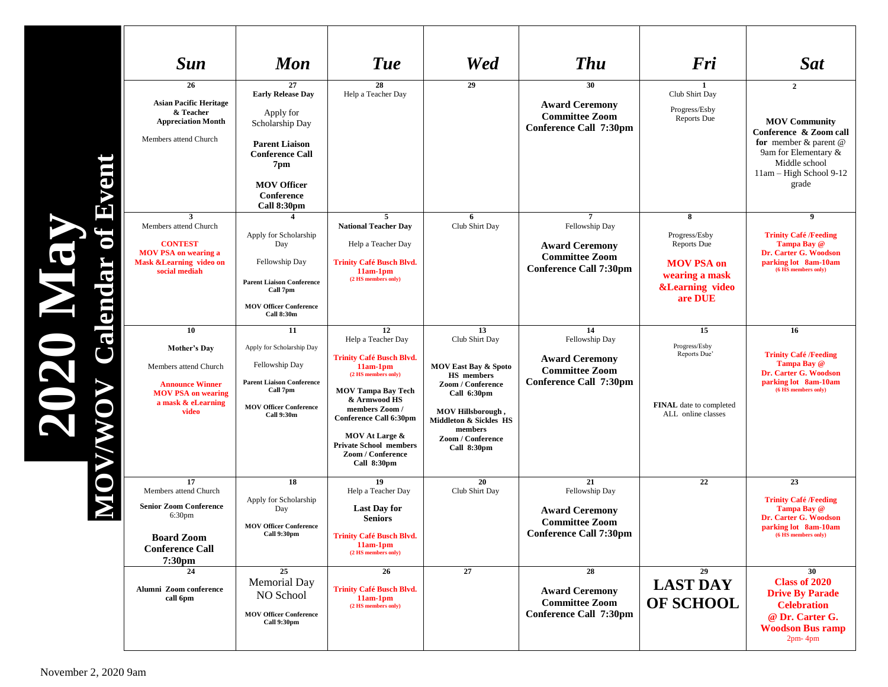| <b>Sun</b>                                                                                                                                     | <b>Mon</b>                                                                                                                                                                                   | <b>Tue</b>                                                                                                                                                                                                                                                                       | Wed                                                                                                                                                                                                            | <b>Thu</b>                                                                                                          | Fri                                                                                                                      | <b>Sat</b>                                                                                                                                                                 |
|------------------------------------------------------------------------------------------------------------------------------------------------|----------------------------------------------------------------------------------------------------------------------------------------------------------------------------------------------|----------------------------------------------------------------------------------------------------------------------------------------------------------------------------------------------------------------------------------------------------------------------------------|----------------------------------------------------------------------------------------------------------------------------------------------------------------------------------------------------------------|---------------------------------------------------------------------------------------------------------------------|--------------------------------------------------------------------------------------------------------------------------|----------------------------------------------------------------------------------------------------------------------------------------------------------------------------|
| 26<br><b>Asian Pacific Heritage</b><br>& Teacher<br><b>Appreciation Month</b><br>Members attend Church                                         | 27<br><b>Early Release Day</b><br>Apply for<br>Scholarship Day<br><b>Parent Liaison</b><br><b>Conference Call</b><br>7pm<br><b>MOV Officer</b><br><b>Conference</b>                          | 28<br>Help a Teacher Day                                                                                                                                                                                                                                                         | 29                                                                                                                                                                                                             | 30<br><b>Award Ceremony</b><br><b>Committee Zoom</b><br>Conference Call 7:30pm                                      | Club Shirt Day<br>Progress/Esby<br>Reports Due                                                                           | $\overline{2}$<br><b>MOV Community</b><br>Conference & Zoom call<br>for member $&$ parent $&$<br>9am for Elementary &<br>Middle school<br>11am - High School 9-12<br>grade |
| $\overline{\mathbf{3}}$<br>Members attend Church<br><b>CONTEST</b><br><b>MOV PSA on wearing a</b><br>Mask & Learning video on<br>social mediah | Call 8:30pm<br>$\boldsymbol{\Delta}$<br>Apply for Scholarship<br>Day<br>Fellowship Day<br><b>Parent Liaison Conference</b><br>Call 7pm<br><b>MOV Officer Conference</b><br><b>Call 8:30m</b> | 5<br><b>National Teacher Day</b><br>Help a Teacher Day<br><b>Trinity Café Busch Blvd.</b><br>$11am-1pm$<br>(2 HS members only)                                                                                                                                                   | 6<br>Club Shirt Day                                                                                                                                                                                            | $\overline{7}$<br>Fellowship Day<br><b>Award Ceremony</b><br><b>Committee Zoom</b><br><b>Conference Call 7:30pm</b> | 8<br>Progress/Esby<br><b>Reports Due</b><br><b>MOV PSA on</b><br>wearing a mask<br><b>&amp;Learning</b> video<br>are DUE | $\boldsymbol{9}$<br><b>Trinity Café /Feeding</b><br>Tampa Bay @<br>Dr. Carter G. Woodson<br>parking lot 8am-10am<br>(6 HS members only)                                    |
| 10<br><b>Mother's Day</b><br>Members attend Church<br><b>Announce Winner</b><br><b>MOV PSA on wearing</b><br>a mask & eLearning<br>video       | 11<br>Apply for Scholarship Day<br>Fellowship Day<br><b>Parent Liaison Conference</b><br>Call 7pm<br><b>MOV Officer Conference</b><br><b>Call 9:30m</b>                                      | 12<br>Help a Teacher Day<br><b>Trinity Café Busch Blvd.</b><br>$11am-1pm$<br>(2 HS members only)<br><b>MOV Tampa Bay Tech</b><br>& Armwood HS<br>members Zoom /<br>Conference Call 6:30pm<br>MOV At Large &<br><b>Private School members</b><br>Zoom / Conference<br>Call 8:30pm | 13<br>Club Shirt Day<br><b>MOV East Bay &amp; Spoto</b><br><b>HS</b> members<br>Zoom / Conference<br>Call 6:30pm<br>MOV Hillsborough,<br>Middleton & Sickles HS<br>members<br>Zoom / Conference<br>Call 8:30pm | 14<br>Fellowship Day<br><b>Award Ceremony</b><br><b>Committee Zoom</b><br><b>Conference Call 7:30pm</b>             | 15<br>Progress/Esby<br>Reports Due'<br>FINAL date to completed<br>ALL online classes                                     | 16<br><b>Trinity Café /Feeding</b><br>Tampa Bay @<br>Dr. Carter G. Woodson<br>parking lot 8am-10am<br>(6 HS members only)                                                  |
| 17<br>Members attend Church<br><b>Senior Zoom Conference</b><br>6:30 <sub>pm</sub><br><b>Board Zoom</b><br><b>Conference Call</b><br>7:30pm    | 18<br>Apply for Scholarship<br>Day<br><b>MOV Officer Conference</b><br>Call 9:30pm                                                                                                           | 19<br>Help a Teacher Day<br><b>Last Day for</b><br><b>Seniors</b><br><b>Trinity Café Busch Blvd.</b><br>11am-1pm<br>(2 HS members only)                                                                                                                                          | 20<br>Club Shirt Day                                                                                                                                                                                           | 21<br>Fellowship Day<br><b>Award Ceremony</b><br><b>Committee Zoom</b><br><b>Conference Call 7:30pm</b>             | 22                                                                                                                       | 23<br><b>Trinity Café /Feeding</b><br><b>Tampa Bay</b> @<br>Dr. Carter G. Woodson<br>parking lot 8am-10am<br>(6 HS members only)                                           |
| 24<br>Alumni Zoom conference<br>call 6pm                                                                                                       | 25<br>Memorial Day<br>NO School<br><b>MOV Officer Conference</b><br>Call 9:30pm                                                                                                              | 26<br><b>Trinity Café Busch Blvd.</b><br>$11am-1pm$<br>(2 HS members only)                                                                                                                                                                                                       | 27                                                                                                                                                                                                             | 28<br><b>Award Ceremony</b><br><b>Committee Zoom</b><br><b>Conference Call 7:30pm</b>                               | 29<br><b>LAST DAY</b><br><b>OF SCHOOL</b>                                                                                | 30<br><b>Class of 2020</b><br><b>Drive By Parade</b><br><b>Celebration</b><br>@ Dr. Carter G.<br><b>Woodson Bus ramp</b><br>$2pm-4pm$                                      |

**2020 May**<br>MOV/WOV Calendar of Event **MOV/WOV Calendar of Event**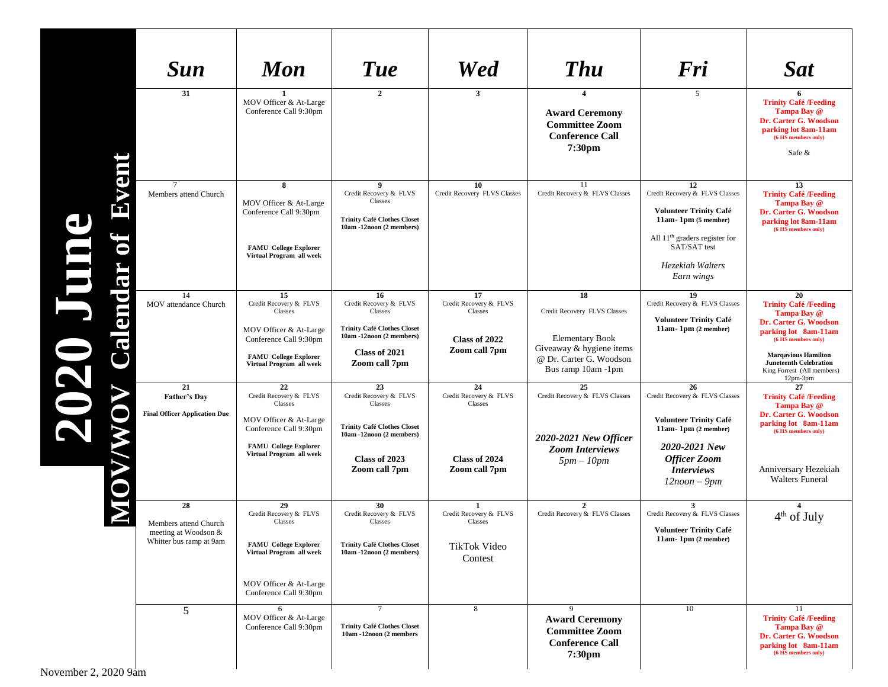| <b>Sun</b>                                                        | <b>Mon</b>                                                                                                        | <b>Tue</b>                                                                                                | <b>Wed</b>                                               | <b>Thu</b>                                                                               | Fri                                                                                                                                                                                          | <b>Sat</b>                                                                                                                                |
|-------------------------------------------------------------------|-------------------------------------------------------------------------------------------------------------------|-----------------------------------------------------------------------------------------------------------|----------------------------------------------------------|------------------------------------------------------------------------------------------|----------------------------------------------------------------------------------------------------------------------------------------------------------------------------------------------|-------------------------------------------------------------------------------------------------------------------------------------------|
| 31                                                                | MOV Officer & At-Large<br>Conference Call 9:30pm                                                                  | $\overline{2}$                                                                                            | 3                                                        | 4<br><b>Award Ceremony</b><br><b>Committee Zoom</b><br><b>Conference Call</b><br>7:30pm  | 5                                                                                                                                                                                            | 6<br><b>Trinity Café /Feeding</b><br><b>Tampa Bay</b> @<br>Dr. Carter G. Woodson<br>parking lot 8am-11am<br>(6 HS members only)<br>Safe & |
| Members attend Church                                             | 8<br>MOV Officer & At-Large<br>Conference Call 9:30pm<br><b>FAMU</b> College Explorer<br>Virtual Program all week | 9<br>Credit Recovery & FLVS<br>Classes<br><b>Trinity Café Clothes Closet</b><br>10am -12noon (2 members)  | 10<br>Credit Recovery FLVS Classes                       | 11<br>Credit Recovery & FLVS Classes                                                     | 12<br>Credit Recovery & FLVS Classes<br><b>Volunteer Trinity Café</b><br>$11am - 1pm (5 member)$<br>All $11th$ graders register for<br>SAT/SAT test<br><b>Hezekiah Walters</b><br>Earn wings | 13<br><b>Trinity Café /Feeding</b><br>Tampa Bay @<br>Dr. Carter G. Woodson<br>parking lot 8am-11am<br>(6 HS members only)                 |
| 14<br>MOV attendance Church                                       | 15<br>Credit Recovery & FLVS<br>Classes<br>MOV Officer & At-Large<br>Conference Call 9:30pm                       | 16<br>Credit Recovery & FLVS<br>Classes<br><b>Trinity Café Clothes Closet</b><br>10am -12noon (2 members) | 17<br>Credit Recovery & FLVS<br>Classes<br>Class of 2022 | 18<br>Credit Recovery FLVS Classes<br><b>Elementary Book</b><br>Giveaway & hygiene items | 19<br>Credit Recovery & FLVS Classes<br><b>Volunteer Trinity Café</b><br>$11am - 1pm(2 member)$                                                                                              | 20<br><b>Trinity Café /Feeding</b><br><b>Tampa Bay</b> @<br>Dr. Carter G. Woodson<br>parking lot 8am-11am<br>(6 HS members only)          |
|                                                                   | <b>FAMU</b> College Explorer<br>Virtual Program all week                                                          | Class of 2021<br>Zoom call 7pm                                                                            | Zoom call 7pm                                            | @ Dr. Carter G. Woodson<br>Bus ramp 10am -1pm                                            |                                                                                                                                                                                              | <b>Margavious Hamilton</b><br><b>Juneteenth Celebration</b><br>King Forrest (All members)<br>12pm-3pm                                     |
| 21<br><b>Father's Day</b><br><b>Final Officer Application Due</b> | 22<br>Credit Recovery & FLVS<br>Classes<br>MOV Officer & At-Large<br>Conference Call 9:30pm                       | 23<br>Credit Recovery & FLVS<br>Classes<br><b>Trinity Café Clothes Closet</b>                             | 24<br>Credit Recovery & FLVS<br>Classes                  | 25<br>Credit Recovery & FLVS Classes                                                     | 26<br>Credit Recovery & FLVS Classes<br><b>Volunteer Trinity Café</b><br>$11am - 1pm(2 member)$                                                                                              | 27<br><b>Trinity Café /Feeding</b><br>Tampa Bay @<br>Dr. Carter G. Woodson<br>parking lot 8am-11am                                        |
|                                                                   | <b>FAMU College Explorer</b><br>Virtual Program all week                                                          | 10am -12noon (2 members)<br>Class of 2023<br>Zoom call 7pm                                                | Class of 2024<br>Zoom call 7pm                           | 2020-2021 New Officer<br><b>Zoom Interviews</b><br>$5pm-10pm$                            | 2020-2021 New<br><b>Officer Zoom</b><br><b>Interviews</b><br>$12$ noon $-9$ pm                                                                                                               | (6 HS members only)<br>Anniversary Hezekiah<br><b>Walters Funeral</b>                                                                     |
| 28<br>Members attend Church<br>meeting at Woodson &               | 29<br>Credit Recovery & FLVS<br>Classes                                                                           | 30<br>Credit Recovery & FLVS<br>Classes                                                                   | 1<br>Credit Recovery & FLVS<br>Classes                   | $\mathbf{2}$<br>Credit Recovery & FLVS Classes                                           | 3<br>Credit Recovery & FLVS Classes<br>Volunteer Trinity Café<br>11am-1pm (2 member)                                                                                                         | 4 <sup>th</sup> of July                                                                                                                   |
| Whitter bus ramp at 9am                                           | <b>FAMU</b> College Explorer<br>Virtual Program all week<br>MOV Officer & At-Large<br>Conference Call 9:30pm      | <b>Trinity Café Clothes Closet</b><br>10am -12noon (2 members)                                            | TikTok Video<br>Contest                                  |                                                                                          |                                                                                                                                                                                              |                                                                                                                                           |
| 5<br>20.0cm                                                       | 6<br>MOV Officer & At-Large<br>Conference Call 9:30pm                                                             | $\tau$<br><b>Trinity Café Clothes Closet</b><br>10am -12noon (2 members                                   | 8                                                        | 9<br><b>Award Ceremony</b><br><b>Committee Zoom</b><br><b>Conference Call</b><br>7:30pm  | 10                                                                                                                                                                                           | 11<br><b>Trinity Café /Feeding</b><br>Tampa Bay @<br>Dr. Carter G. Woodson<br>parking lot 8am-11am<br>(6 HS members only)                 |

**2020 June**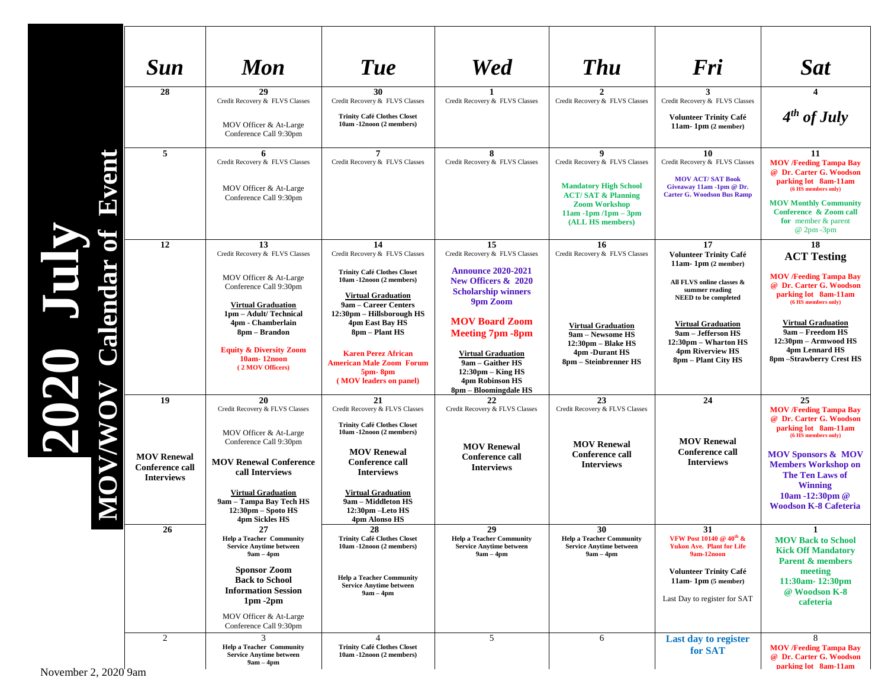|                         | <b>Sun</b>                                                        | <b>Mon</b>                                                                                                                                                                                                                              | <b>Tue</b>                                                                                                                                                                                                                      | <b>Wed</b>                                                                                                                                                                               | <b>Thu</b>                                                                                                                                                               | Fri                                                                                                                                                                                     | <b>Sat</b>                                                                                                                                                                                                                           |
|-------------------------|-------------------------------------------------------------------|-----------------------------------------------------------------------------------------------------------------------------------------------------------------------------------------------------------------------------------------|---------------------------------------------------------------------------------------------------------------------------------------------------------------------------------------------------------------------------------|------------------------------------------------------------------------------------------------------------------------------------------------------------------------------------------|--------------------------------------------------------------------------------------------------------------------------------------------------------------------------|-----------------------------------------------------------------------------------------------------------------------------------------------------------------------------------------|--------------------------------------------------------------------------------------------------------------------------------------------------------------------------------------------------------------------------------------|
|                         | 28                                                                | 29<br>Credit Recovery & FLVS Classes                                                                                                                                                                                                    | 30<br>Credit Recovery & FLVS Classes                                                                                                                                                                                            | Credit Recovery & FLVS Classes                                                                                                                                                           | Credit Recovery & FLVS Classes                                                                                                                                           | 3<br>Credit Recovery & FLVS Classes                                                                                                                                                     |                                                                                                                                                                                                                                      |
|                         |                                                                   | MOV Officer & At-Large<br>Conference Call 9:30pm                                                                                                                                                                                        | <b>Trinity Café Clothes Closet</b><br>10am -12noon (2 members)                                                                                                                                                                  |                                                                                                                                                                                          |                                                                                                                                                                          | <b>Volunteer Trinity Café</b><br>$11am - 1pm(2 member)$                                                                                                                                 | $4th$ of July                                                                                                                                                                                                                        |
|                         | 5                                                                 | 6<br>Credit Recovery & FLVS Classes<br>MOV Officer & At-Large<br>Conference Call 9:30pm                                                                                                                                                 | Credit Recovery & FLVS Classes                                                                                                                                                                                                  | 8<br>Credit Recovery & FLVS Classes                                                                                                                                                      | 9<br>Credit Recovery & FLVS Classes<br><b>Mandatory High School</b><br><b>ACT/SAT &amp; Planning</b><br><b>Zoom Workshop</b><br>$11am -1pm/1pm -3pm$<br>(ALL HS members) | 10<br>Credit Recovery & FLVS Classes<br><b>MOV ACT/SAT Book</b><br>Giveaway 11am -1pm @ Dr.<br><b>Carter G. Woodson Bus Ramp</b>                                                        | 11<br><b>MOV</b> /Feeding Tampa Bav<br>@ Dr. Carter G. Woodson<br>parking lot 8am-11am<br>(6 HS members only)<br><b>MOV Monthly Community</b><br>Conference & Zoom call<br>for member $&$ parent<br>$@$ 2pm -3pm                     |
|                         | 12                                                                | 13<br>Credit Recovery & FLVS Classes<br>MOV Officer & At-Large<br>Conference Call 9:30pm                                                                                                                                                | 14<br>Credit Recovery & FLVS Classes<br><b>Trinity Café Clothes Closet</b><br>10am -12noon (2 members)                                                                                                                          | 15<br>Credit Recovery & FLVS Classes<br><b>Announce 2020-2021</b><br>New Officers & 2020<br><b>Scholarship winners</b>                                                                   | 16<br>Credit Recovery & FLVS Classes                                                                                                                                     | 17<br><b>Volunteer Trinity Café</b><br>$11am - 1pm(2 member)$<br>All FLVS online classes &<br>summer reading                                                                            | 18<br><b>ACT Testing</b><br><b>MOV</b> /Feeding Tampa Bay<br>@ Dr. Carter G. Woodson                                                                                                                                                 |
|                         |                                                                   | <b>Virtual Graduation</b><br>1pm - Adult/Technical<br>4pm - Chamberlain<br>8pm - Brandon<br><b>Equity &amp; Diversity Zoom</b><br>$10am - 12noon$<br>(2 MOV Officers)                                                                   | <b>Virtual Graduation</b><br>9am – Career Centers<br>12:30pm - Hillsborough HS<br>4pm East Bay HS<br>8pm - Plant HS<br><b>Karen Perez African</b><br><b>American Male Zoom Forum</b><br>$5pm$ - $8pm$<br>(MOV leaders on panel) | 9pm Zoom<br><b>MOV Board Zoom</b><br><b>Meeting 7pm -8pm</b><br><b>Virtual Graduation</b><br>9am – Gaither HS<br>$12:30 \text{pm} -$ King HS<br>4pm Robinson HS<br>8pm – Bloomingdale HS | <b>Virtual Graduation</b><br>9am - Newsome HS<br>12:30pm - Blake HS<br>4pm -Durant HS<br>8pm – Steinbrenner HS                                                           | <b>NEED</b> to be completed<br><b>Virtual Graduation</b><br>9am - Jefferson HS<br>12:30pm - Wharton HS<br>4pm Riverview HS<br>8pm - Plant City HS                                       | parking lot 8am-11am<br>(6 HS members only)<br><b>Virtual Graduation</b><br>9am – Freedom HS<br>12:30pm - Armwood HS<br>4pm Lennard HS<br>8pm - Strawberry Crest HS                                                                  |
|                         | 19                                                                | 20<br>Credit Recovery & FLVS Classes                                                                                                                                                                                                    | 21<br>Credit Recovery & FLVS Classes                                                                                                                                                                                            | 22<br>Credit Recovery & FLVS Classes                                                                                                                                                     | 23<br>Credit Recovery & FLVS Classes                                                                                                                                     | 24                                                                                                                                                                                      | 25<br><b>MOV</b> /Feeding Tampa Bay                                                                                                                                                                                                  |
|                         | <b>MOV Renewal</b><br><b>Conference call</b><br><b>Interviews</b> | MOV Officer & At-Large<br>Conference Call 9:30pm<br><b>MOV Renewal Conference</b><br>call Interviews<br><b>Virtual Graduation</b><br>9am - Tampa Bay Tech HS<br>$12:30 \text{pm} - \text{Spoto HS}$<br>4pm Sickles HS                   | <b>Trinity Café Clothes Closet</b><br>10am -12noon (2 members)<br><b>MOV Renewal</b><br><b>Conference call</b><br><b>Interviews</b><br><b>Virtual Graduation</b><br>9am - Middleton HS<br>12:30pm - Leto HS<br>4pm Alonso HS    | <b>MOV Renewal</b><br><b>Conference call</b><br><b>Interviews</b>                                                                                                                        | <b>MOV Renewal</b><br><b>Conference call</b><br><b>Interviews</b>                                                                                                        | <b>MOV Renewal</b><br><b>Conference call</b><br><b>Interviews</b>                                                                                                                       | @ Dr. Carter G. Woodson<br>parking lot 8am-11am<br>(6 HS members only)<br><b>MOV Sponsors &amp; MOV</b><br><b>Members Workshop on</b><br><b>The Ten Laws of</b><br><b>Winning</b><br>10am -12:30pm @<br><b>Woodson K-8 Cafeteria</b> |
|                         | 26                                                                | 27<br><b>Help a Teacher Community</b><br><b>Service Anytime between</b><br>$9am - 4pm$<br><b>Sponsor Zoom</b><br><b>Back to School</b><br><b>Information Session</b><br>$1pm - 2pm$<br>MOV Officer & At-Large<br>Conference Call 9:30pm | 28<br><b>Trinity Café Clothes Closet</b><br>10am -12noon (2 members)<br><b>Help a Teacher Community</b><br><b>Service Anytime between</b><br>$9am - 4pm$                                                                        | 29<br><b>Help a Teacher Community</b><br><b>Service Anytime between</b><br>$9am - 4pm$                                                                                                   | 30<br><b>Help a Teacher Community</b><br><b>Service Anvtime between</b><br>$9am - 4pm$                                                                                   | 31<br>VFW Post 10140 @ 40 <sup>th</sup> &<br><b>Yukon Ave. Plant for Life</b><br>9am-12noon<br><b>Volunteer Trinity Café</b><br>$11am - 1pm (5 member)$<br>Last Day to register for SAT | 1<br><b>MOV Back to School</b><br><b>Kick Off Mandatory</b><br><b>Parent &amp; members</b><br>meeting<br>11:30am-12:30pm<br>@ Woodson K-8<br>cafeteria                                                                               |
| November $2.2020$ $0em$ | $\overline{2}$                                                    | <b>Help a Teacher Community</b><br><b>Service Anytime between</b><br>$9am - 4pm$                                                                                                                                                        | <b>Trinity Café Clothes Closet</b><br>10am -12noon (2 members)                                                                                                                                                                  | 5                                                                                                                                                                                        | 6                                                                                                                                                                        | Last day to register<br>for SAT                                                                                                                                                         | 8<br><b>MOV /Feeding Tampa Bay</b><br>@ Dr. Carter G. Woodson<br>parking lot 8am-11am                                                                                                                                                |

November 2, 2020 9am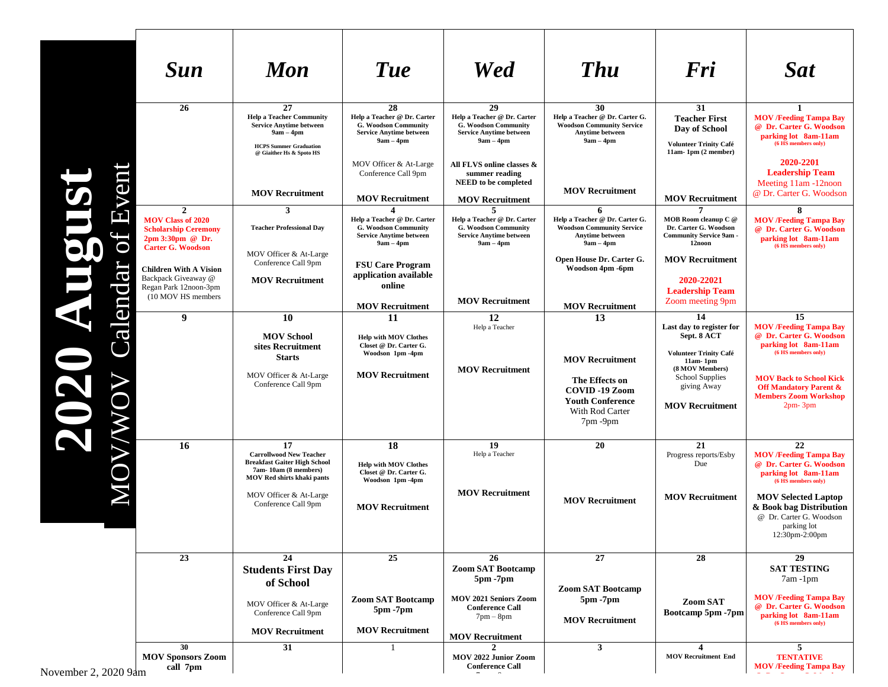|                | <b>Sun</b>                                                                                                              | <b>Mon</b>                                                                                                                                                                                | <b>Tue</b>                                                                                                                                  | <b>Wed</b>                                                                                                                                                         | <b>Thu</b>                                                                                                                 | Fri                                                                                                                                                                   | <b>Sat</b>                                                                                                                                                                                                                         |
|----------------|-------------------------------------------------------------------------------------------------------------------------|-------------------------------------------------------------------------------------------------------------------------------------------------------------------------------------------|---------------------------------------------------------------------------------------------------------------------------------------------|--------------------------------------------------------------------------------------------------------------------------------------------------------------------|----------------------------------------------------------------------------------------------------------------------------|-----------------------------------------------------------------------------------------------------------------------------------------------------------------------|------------------------------------------------------------------------------------------------------------------------------------------------------------------------------------------------------------------------------------|
|                | 26                                                                                                                      | 27<br><b>Help a Teacher Community</b><br><b>Service Anytime between</b><br>$9am - 4pm$<br><b>HCPS</b> Summer Graduation<br>@ Giaither Hs & Spoto HS                                       | 28<br>Help a Teacher @ Dr. Carter<br><b>G. Woodson Community</b><br><b>Service Anytime between</b><br>$9am - 4pm$<br>MOV Officer & At-Large | 29<br>Help a Teacher @ Dr. Carter<br><b>G. Woodson Community</b><br><b>Service Anytime between</b><br>$9am - 4pm$<br>All FLVS online classes &                     | 30<br>Help a Teacher @ Dr. Carter G.<br><b>Woodson Community Service</b><br><b>Anytime between</b><br>$9am - 4pm$          | 31<br><b>Teacher First</b><br>Day of School<br>Volunteer Trinity Café<br>11am-1pm (2 member)                                                                          | 1<br><b>MOV</b> /Feeding Tampa Bay<br>@ Dr. Carter G. Woodson<br>parking lot 8am-11am<br>(6 HS members only)<br>2020-2201                                                                                                          |
| <b>Trych</b>   |                                                                                                                         | <b>MOV Recruitment</b>                                                                                                                                                                    | Conference Call 9pm<br><b>MOV Recruitment</b>                                                                                               | summer reading<br><b>NEED</b> to be completed<br><b>MOV Recruitment</b>                                                                                            | <b>MOV Recruitment</b>                                                                                                     | <b>MOV Recruitment</b>                                                                                                                                                | <b>Leadership Team</b><br>Meeting 11am -12noon<br>@ Dr. Carter G. Woodson                                                                                                                                                          |
| 6              | $\mathbf{2}$<br><b>MOV Class of 2020</b><br><b>Scholarship Ceremony</b><br>2pm 3:30pm @ Dr.<br><b>Carter G. Woodson</b> | 3<br><b>Teacher Professional Day</b>                                                                                                                                                      | Help a Teacher @ Dr. Carter<br>G. Woodson Community<br><b>Service Anytime between</b><br>$9am - 4pm$                                        | Help a Teacher @ Dr. Carter<br><b>G. Woodson Community</b><br><b>Service Anytime between</b><br>$9am - 4pm$                                                        | 6<br>Help a Teacher @ Dr. Carter G.<br><b>Woodson Community Service</b><br>Anytime between<br>$9am - 4pm$                  | MOB Room cleanup C @<br>Dr. Carter G. Woodson<br><b>Community Service 9am -</b><br>12noon                                                                             | 8<br><b>MOV</b> /Feeding Tampa Bay<br>@ Dr. Carter G. Woodson<br>parking lot 8am-11am<br>(6 HS members only)                                                                                                                       |
| ar             | <b>Children With A Vision</b><br>Backpack Giveaway @<br>Regan Park 12noon-3pm<br>(10 MOV HS members)                    | MOV Officer & At-Large<br>Conference Call 9pm<br><b>MOV Recruitment</b>                                                                                                                   | <b>FSU Care Program</b><br>application available<br>online                                                                                  | <b>MOV Recruitment</b>                                                                                                                                             | Open House Dr. Carter G.<br>Woodson 4pm -6pm                                                                               | <b>MOV Recruitment</b><br>2020-22021<br><b>Leadership Team</b><br>Zoom meeting 9pm                                                                                    |                                                                                                                                                                                                                                    |
|                | 9                                                                                                                       | 10                                                                                                                                                                                        | <b>MOV Recruitment</b><br>11                                                                                                                | 12                                                                                                                                                                 | <b>MOV Recruitment</b><br>13                                                                                               | 14                                                                                                                                                                    | 15                                                                                                                                                                                                                                 |
| ${\rm Calend}$ |                                                                                                                         | <b>MOV School</b><br>sites Recruitment<br><b>Starts</b><br>MOV Officer & At-Large<br>Conference Call 9pm                                                                                  | <b>Help with MOV Clothes</b><br>Closet @ Dr. Carter G.<br>Woodson 1pm -4pm<br><b>MOV Recruitment</b>                                        | Help a Teacher<br><b>MOV Recruitment</b>                                                                                                                           | <b>MOV Recruitment</b><br>The Effects on<br><b>COVID-19 Zoom</b><br><b>Youth Conference</b><br>With Rod Carter<br>7pm -9pm | Last day to register for<br>Sept. 8 ACT<br>Volunteer Trinity Café<br>$11am-1pm$<br>(8 MOV Members)<br><b>School Supplies</b><br>giving Away<br><b>MOV Recruitment</b> | <b>MOV</b> /Feeding Tampa Bay<br>@ Dr. Carter G. Woodson<br>parking lot 8am-11am<br>(6 HS members only)<br><b>MOV Back to School Kick</b><br><b>Off Mandatory Parent &amp;</b><br><b>Members Zoom Workshop</b><br>$2pm-3pm$        |
|                | 16                                                                                                                      | 17<br><b>Carrollwood New Teacher</b><br><b>Breakfast Gaiter High School</b><br>7am-10am (8 members)<br><b>MOV Red shirts khaki pants</b><br>MOV Officer & At-Large<br>Conference Call 9pm | 18<br><b>Help with MOV Clothes</b><br>Closet @ Dr. Carter G.<br>Woodson 1pm-4pm<br><b>MOV Recruitment</b>                                   | 19<br>Help a Teacher<br><b>MOV Recruitment</b>                                                                                                                     | 20<br><b>MOV Recruitment</b>                                                                                               | 21<br>Progress reports/Esby<br>Due<br><b>MOV Recruitment</b>                                                                                                          | 22<br><b>MOV</b> /Feeding Tampa Bay<br>@ Dr. Carter G. Woodson<br>parking lot 8am-11am<br>(6 HS members only)<br><b>MOV Selected Laptop</b><br>& Book bag Distribution<br>@ Dr. Carter G. Woodson<br>parking lot<br>12:30pm-2:00pm |
|                | 23                                                                                                                      | 24<br><b>Students First Day</b><br>of School<br>MOV Officer & At-Large<br>Conference Call 9pm<br><b>MOV Recruitment</b>                                                                   | 25<br><b>Zoom SAT Bootcamp</b><br>$5pm - 7pm$<br><b>MOV Recruitment</b>                                                                     | 26<br><b>Zoom SAT Bootcamp</b><br>$5pm$ -7 $pm$<br><b>MOV 2021 Seniors Zoom</b><br><b>Conference Call</b><br>$7 \text{pm} - 8 \text{pm}$<br><b>MOV Recruitment</b> | 27<br><b>Zoom SAT Bootcamp</b><br>$5pm - 7pm$<br><b>MOV Recruitment</b>                                                    | 28<br>Zoom SAT<br><b>Bootcamp 5pm -7pm</b>                                                                                                                            | 29<br><b>SAT TESTING</b><br>$7am - 1pm$<br><b>MOV</b> /Feeding Tampa Bay<br>@ Dr. Carter G. Woodson<br>parking lot 8am-11am<br>(6 HS members only)                                                                                 |
| 2020 9am       | 30<br><b>MOV Sponsors Zoom</b><br>call 7pm                                                                              | 31                                                                                                                                                                                        |                                                                                                                                             | MOV 2022 Junior Zoom<br><b>Conference Call</b>                                                                                                                     | 3                                                                                                                          | 4<br><b>MOV Recruitment End</b>                                                                                                                                       | 5<br><b>TENTATIVE</b><br><b>MOV</b> /Feeding Tampa Bay                                                                                                                                                                             |

**2020 August**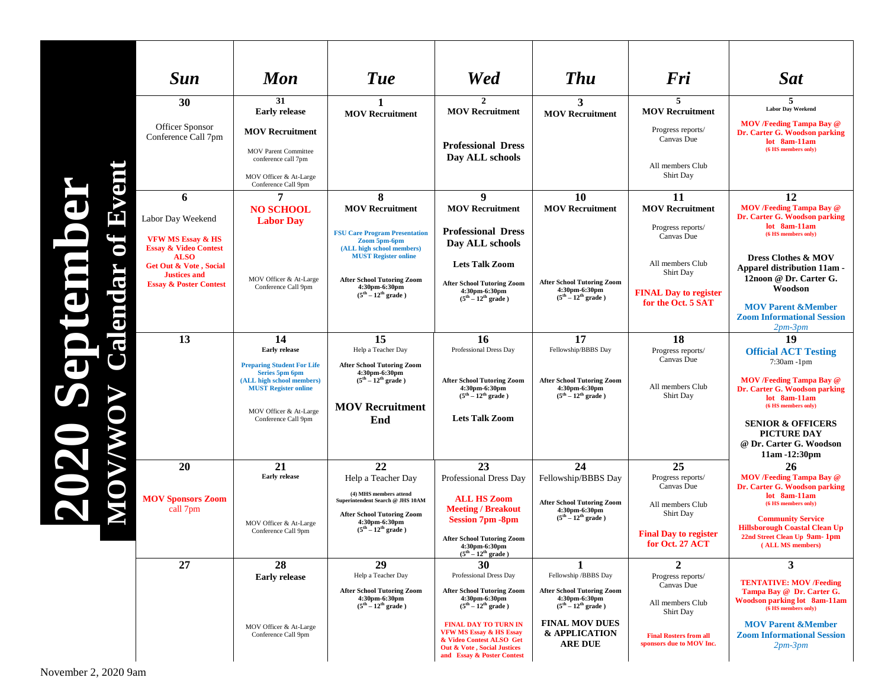| <b>Sun</b>                                                              | <b>Mon</b>                                                                 | <b>Tue</b>                                                                               | <b>Wed</b>                                                                                                                                                 | <b>Thu</b>                                                                               | Fri                                                       | <b>Sat</b>                                                                                              |
|-------------------------------------------------------------------------|----------------------------------------------------------------------------|------------------------------------------------------------------------------------------|------------------------------------------------------------------------------------------------------------------------------------------------------------|------------------------------------------------------------------------------------------|-----------------------------------------------------------|---------------------------------------------------------------------------------------------------------|
| 30                                                                      | 31<br><b>Early release</b>                                                 | <b>MOV Recruitment</b>                                                                   | 2<br><b>MOV Recruitment</b>                                                                                                                                | 3<br><b>MOV Recruitment</b>                                                              | 5<br><b>MOV Recruitment</b>                               | 5<br><b>Labor Day Weekend</b>                                                                           |
| Officer Sponsor<br>Conference Call 7pm                                  | <b>MOV Recruitment</b><br><b>MOV Parent Committee</b>                      |                                                                                          | <b>Professional Dress</b>                                                                                                                                  |                                                                                          | Progress reports/<br>Canvas Due                           | <b>MOV</b> /Feeding Tampa Bay @<br>Dr. Carter G. Woodson parking<br>lot 8am-11am<br>(6 HS members only) |
|                                                                         | conference call 7pm<br>MOV Officer & At-Large                              |                                                                                          | Day ALL schools                                                                                                                                            |                                                                                          | All members Club<br>Shirt Day                             |                                                                                                         |
| 6                                                                       | Conference Call 9pm<br>7                                                   | 8                                                                                        | 9                                                                                                                                                          | 10                                                                                       | 11                                                        | 12                                                                                                      |
| Labor Day Weekend                                                       | <b>NO SCHOOL</b><br><b>Labor Day</b>                                       | <b>MOV Recruitment</b>                                                                   | <b>MOV Recruitment</b>                                                                                                                                     | <b>MOV Recruitment</b>                                                                   | <b>MOV Recruitment</b>                                    | <b>MOV</b> /Feeding Tampa Bay @<br>Dr. Carter G. Woodson parking                                        |
| <b>VFW MS Essay &amp; HS</b><br><b>Essay &amp; Video Contest</b>        |                                                                            | <b>FSU Care Program Presentation</b><br>Zoom 5pm-6pm<br>(ALL high school members)        | <b>Professional Dress</b><br>Day ALL schools                                                                                                               |                                                                                          | Progress reports/<br>Canvas Due                           | lot 8am-11am<br>(6 HS members only)                                                                     |
| <b>ALSO</b><br><b>Get Out &amp; Vote, Social</b><br><b>Justices and</b> | MOV Officer & At-Large                                                     | <b>MUST Register online</b><br><b>After School Tutoring Zoom</b>                         | <b>Lets Talk Zoom</b>                                                                                                                                      |                                                                                          | All members Club<br>Shirt Day                             | Dress Clothes & MOV<br>Apparel distribution 11am -<br>12noon @ Dr. Carter G.                            |
| <b>Essay &amp; Poster Contest</b>                                       | Conference Call 9pm                                                        | 4:30pm-6:30pm<br>$(5^{th} - 12^{th} \text{ grade})$                                      | <b>After School Tutoring Zoom</b><br>4:30pm-6:30pm<br>$(5^{th} - 12^{th} \text{ grade})$                                                                   | <b>After School Tutoring Zoom</b><br>4:30pm-6:30pm<br>$(5^{th} - 12^{th} \text{ grade})$ | <b>FINAL Day to register</b><br>for the Oct. 5 SAT        | Woodson<br><b>MOV Parent &amp;Member</b>                                                                |
|                                                                         |                                                                            |                                                                                          |                                                                                                                                                            |                                                                                          |                                                           | <b>Zoom Informational Session</b><br>$2pm-3pm$                                                          |
| 13                                                                      | 14<br><b>Early release</b><br><b>Preparing Student For Life</b>            | 15<br>Help a Teacher Day<br><b>After School Tutoring Zoom</b>                            | 16<br>Professional Dress Day                                                                                                                               | 17<br>Fellowship/BBBS Day                                                                | 18<br>Progress reports/<br>Canvas Due                     | 19<br><b>Official ACT Testing</b><br>$7:30am - 1pm$                                                     |
|                                                                         | Series 5pm 6pm<br>(ALL high school members)<br><b>MUST Register online</b> | 4:30pm-6:30pm<br>$(5^{th} - 12^{th} \text{ grade})$<br><b>MOV Recruitment</b>            | <b>After School Tutoring Zoom</b><br>4:30pm-6:30pm<br>$(5^{th} - 12^{th} \text{ grade})$                                                                   | <b>After School Tutoring Zoom</b><br>4:30pm-6:30pm<br>$(5^{th} - 12^{th} \text{ grade})$ | All members Club<br>Shirt Day                             | <b>MOV</b> /Feeding Tampa Bay @<br>Dr. Carter G. Woodson parking<br>lot 8am-11am<br>(6 HS members only) |
|                                                                         | MOV Officer & At-Large<br>Conference Call 9pm                              | End                                                                                      | <b>Lets Talk Zoom</b>                                                                                                                                      |                                                                                          |                                                           | <b>SENIOR &amp; OFFICERS</b><br>PICTURE DAY<br>@ Dr. Carter G. Woodson                                  |
|                                                                         |                                                                            |                                                                                          |                                                                                                                                                            |                                                                                          |                                                           | 11am -12:30pm                                                                                           |
| 20                                                                      | 21<br><b>Early release</b>                                                 | 22<br>Help a Teacher Day<br>(4) MHS members attend                                       | 23<br>Professional Dress Day                                                                                                                               | 24<br>Fellowship/BBBS Day                                                                | 25<br>Progress reports/<br>Canvas Due                     | <b>26</b><br><b>MOV</b> /Feeding Tampa Bay @<br>Dr. Carter G. Woodson parking                           |
| <b>MOV Sponsors Zoom</b><br>call 7pm                                    | MOV Officer & At-Large                                                     | Superintendent Search @ JHS 10AM<br><b>After School Tutoring Zoom</b><br>4:30pm-6:30pm   | <b>ALL HS Zoom</b><br><b>Meeting / Breakout</b><br><b>Session 7pm -8pm</b>                                                                                 | <b>After School Tutoring Zoom</b><br>4:30pm-6:30pm<br>$(5^{th} - 12^{th} \text{ grade})$ | All members Club<br>Shirt Day                             | lot 8am-11am<br>(6 HS members only)<br><b>Community Service</b>                                         |
|                                                                         | Conference Call 9pm                                                        | $(5^{th} - 12^{th} \text{ grade})$                                                       | <b>After School Tutoring Zoom</b><br>4:30pm-6:30pm<br>$(5th - 12th grade)$                                                                                 |                                                                                          | <b>Final Day to register</b><br>for Oct. 27 ACT           | <b>Hillsborough Coastal Clean Up</b><br>22nd Street Clean Up 9am- 1pm<br>(ALL MS members)               |
| 27                                                                      | 28<br><b>Early release</b>                                                 | 29<br>Help a Teacher Day                                                                 | 30<br>Professional Dress Day                                                                                                                               | 1<br>Fellowship /BBBS Day                                                                | 2<br>Progress reports/<br>Canvas Due                      | 3<br><b>TENTATIVE: MOV /Feeding</b>                                                                     |
|                                                                         |                                                                            | <b>After School Tutoring Zoom</b><br>4:30pm-6:30pm<br>$(5^{th} - 12^{th} \text{ grade})$ | <b>After School Tutoring Zoom</b><br>4:30pm-6:30pm<br>$(5th - 12th$ grade)                                                                                 | <b>After School Tutoring Zoom</b><br>4:30pm-6:30pm<br>$(5^{th} - 12^{th} \text{ grade})$ | All members Club<br>Shirt Day                             | Tampa Bay @ Dr. Carter G.<br><b>Woodson parking lot</b> 8am-11am<br>(6 HS members only)                 |
|                                                                         | MOV Officer & At-Large<br>Conference Call 9pm                              |                                                                                          | <b>FINAL DAY TO TURN IN</b><br><b>VFW MS Essay &amp; HS Essay</b><br>& Video Contest ALSO Get<br>Out & Vote, Social Justices<br>and Essay & Poster Contest | <b>FINAL MOV DUES</b><br>& APPLICATION<br><b>ARE DUE</b>                                 | <b>Final Rosters from all</b><br>sponsors due to MOV Inc. | <b>MOV Parent &amp; Member</b><br><b>Zoom Informational Session</b><br>$2pm-3pm$                        |

November 2, 2020 9am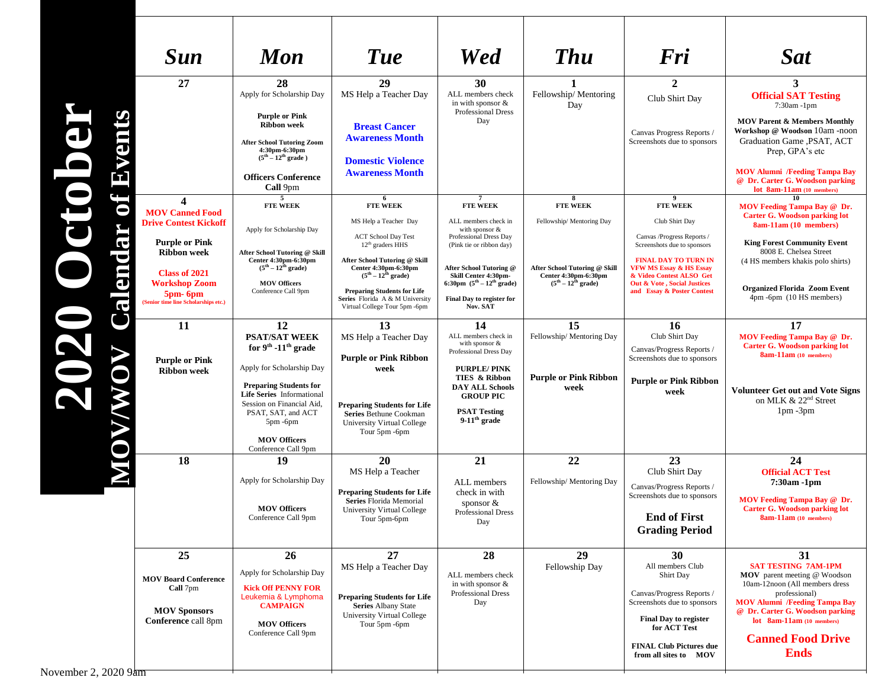|    | <b>Sun</b>                                                                                                                                                                                                                               | <b>Mon</b>                                                                                                                                                                                                                                                                   | <b>Tue</b>                                                                                                                                                                                                                                                                                                      | <b>Wed</b>                                                                                                                                                                                                                                               | <b>Thu</b>                                                                                                             | Fri                                                                                                                                                                                                                                                              | <b>Sat</b>                                                                                                                                                                                                                                                                                   |
|----|------------------------------------------------------------------------------------------------------------------------------------------------------------------------------------------------------------------------------------------|------------------------------------------------------------------------------------------------------------------------------------------------------------------------------------------------------------------------------------------------------------------------------|-----------------------------------------------------------------------------------------------------------------------------------------------------------------------------------------------------------------------------------------------------------------------------------------------------------------|----------------------------------------------------------------------------------------------------------------------------------------------------------------------------------------------------------------------------------------------------------|------------------------------------------------------------------------------------------------------------------------|------------------------------------------------------------------------------------------------------------------------------------------------------------------------------------------------------------------------------------------------------------------|----------------------------------------------------------------------------------------------------------------------------------------------------------------------------------------------------------------------------------------------------------------------------------------------|
| 62 | 27                                                                                                                                                                                                                                       | 28<br>Apply for Scholarship Day<br><b>Purple or Pink</b><br><b>Ribbon</b> week<br><b>After School Tutoring Zoom</b><br>4:30pm-6:30pm<br>$(5^{th} - 12^{th} \text{ grade})$<br><b>Officers Conference</b><br>Call 9pm                                                         | 29<br>MS Help a Teacher Day<br><b>Breast Cancer</b><br><b>Awareness Month</b><br><b>Domestic Violence</b><br><b>Awareness Month</b>                                                                                                                                                                             | 30<br>ALL members check<br>in with sponsor $\&$<br>Professional Dress<br>Day                                                                                                                                                                             | Fellowship/Mentoring<br>Day                                                                                            | $\mathbf{2}$<br>Club Shirt Day<br>Canvas Progress Reports /<br>Screenshots due to sponsors                                                                                                                                                                       | 3<br><b>Official SAT Testing</b><br>$7:30am - 1pm$<br><b>MOV Parent &amp; Members Monthly</b><br>Workshop @ Woodson 10am -noon<br>Graduation Game , PSAT, ACT<br>Prep, GPA's etc<br><b>MOV Alumni</b> /Feeding Tampa Bay<br>@ Dr. Carter G. Woodson parking<br>$lot$ 8am-11am $(10$ members) |
|    | $\boldsymbol{\Delta}$<br><b>MOV Canned Food</b><br><b>Drive Contest Kickoff</b><br><b>Purple or Pink</b><br><b>Ribbon</b> week<br><b>Class of 2021</b><br><b>Workshop Zoom</b><br>$5pm$ - 6 $pm$<br>(Senior time line Scholarships etc.) | FTE WEEK<br>Apply for Scholarship Day<br>After School Tutoring @ Skill<br>Center 4:30pm-6:30pm<br>$(5^{th} – 12^{th} \text{ grade})$<br><b>MOV Officers</b><br>Conference Call 9pm                                                                                           | <b>FTE WEEK</b><br>MS Help a Teacher Day<br><b>ACT School Day Test</b><br>12 <sup>th</sup> graders HHS<br>After School Tutoring @ Skill<br>Center 4:30pm-6:30pm<br>$(5^{th} - 12^{th} \text{ grade})$<br><b>Preparing Students for Life</b><br>Series Florida A & M University<br>Virtual College Tour 5pm -6pm | <b>FTE WEEK</b><br>ALL members check in<br>with sponsor &<br>Professional Dress Day<br>(Pink tie or ribbon day)<br>After School Tutoring @<br>Skill Center 4:30pm-<br>6:30pm $(5^{th} - 12^{th} \text{ grade})$<br>Final Day to register for<br>Nov. SAT | FTE WEEK<br>Fellowship/ Mentoring Day<br>After School Tutoring @ Skill<br>Center 4:30pm-6:30pm<br>$(5th - 12th grade)$ | FTE WEEK<br>Club Shirt Day<br>Canvas /Progress Reports /<br>Screenshots due to sponsors<br><b>FINAL DAY TO TURN IN</b><br><b>VFW MS Essay &amp; HS Essay</b><br>& Video Contest ALSO Get<br><b>Out &amp; Vote, Social Justices</b><br>and Essay & Poster Contest | MOV Feeding Tampa Bay @ Dr.<br><b>Carter G. Woodson parking lot</b><br>8am-11am (10 members)<br><b>King Forest Community Event</b><br>8008 E. Chelsea Street<br>(4 HS members khakis polo shirts)<br><b>Organized Florida Zoom Event</b><br>4pm -6pm (10 HS members)                         |
|    | 11<br><b>Purple or Pink</b><br><b>Ribbon</b> week                                                                                                                                                                                        | 12<br><b>PSAT/SAT WEEK</b><br>for $9th$ -11 <sup>th</sup> grade<br>Apply for Scholarship Day<br><b>Preparing Students for</b><br>Life Series Informational<br>Session on Financial Aid,<br>PSAT, SAT, and ACT<br>$5pm$ -6 $pm$<br><b>MOV Officers</b><br>Conference Call 9pm | 13<br>MS Help a Teacher Day<br><b>Purple or Pink Ribbon</b><br>week<br><b>Preparing Students for Life</b><br>Series Bethune Cookman<br>University Virtual College<br>Tour 5pm -6pm                                                                                                                              | 14<br>ALL members check in<br>with sponsor $&$<br>Professional Dress Day<br><b>PURPLE/PINK</b><br>TIES & Ribbon<br><b>DAY ALL Schools</b><br><b>GROUP PIC</b><br><b>PSAT Testing</b><br>$9-11th$ grade                                                   | 15<br>Fellowship/ Mentoring Day<br><b>Purple or Pink Ribbon</b><br>week                                                | 16<br>Club Shirt Day<br>Canvas/Progress Reports /<br>Screenshots due to sponsors<br><b>Purple or Pink Ribbon</b><br>week                                                                                                                                         | 17<br>MOV Feeding Tampa Bay @ Dr.<br><b>Carter G. Woodson parking lot</b><br>8am-11am (10 members)<br><b>Volunteer Get out and Vote Signs</b><br>on MLK & 22 <sup>nd</sup> Street<br>$1pm - 3pm$                                                                                             |
|    | 18                                                                                                                                                                                                                                       | 19<br>Apply for Scholarship Day<br><b>MOV Officers</b><br>Conference Call 9pm                                                                                                                                                                                                | 20<br>MS Help a Teacher<br><b>Preparing Students for Life</b><br>Series Florida Memorial<br>University Virtual College<br>Tour 5pm-6pm                                                                                                                                                                          | 21<br>ALL members<br>check in with<br>sponsor $&$<br><b>Professional Dress</b><br>Day                                                                                                                                                                    | 22<br>Fellowship/ Mentoring Day                                                                                        | 23<br>Club Shirt Day<br>Canvas/Progress Reports /<br>Screenshots due to sponsors<br><b>End of First</b><br><b>Grading Period</b>                                                                                                                                 | 24<br><b>Official ACT Test</b><br>7:30am -1pm<br><b>MOV Feeding Tampa Bay @ Dr.</b><br><b>Carter G. Woodson parking lot</b><br>8am-11am (10 members)                                                                                                                                         |
|    | 25<br><b>MOV Board Conference</b><br>Call 7pm<br><b>MOV Sponsors</b><br>Conference call 8pm                                                                                                                                              | 26<br>Apply for Scholarship Day<br><b>Kick Off PENNY FOR</b><br>Leukemia & Lymphoma<br><b>CAMPAIGN</b><br><b>MOV Officers</b><br>Conference Call 9pm                                                                                                                         | 27<br>MS Help a Teacher Day<br><b>Preparing Students for Life</b><br><b>Series Albany State</b><br>University Virtual College<br>Tour 5pm -6pm                                                                                                                                                                  | 28<br>ALL members check<br>in with sponsor $\&$<br>Professional Dress<br>Day                                                                                                                                                                             | 29<br>Fellowship Day                                                                                                   | 30<br>All members Club<br>Shirt Day<br>Canvas/Progress Reports /<br>Screenshots due to sponsors<br><b>Final Day to register</b><br>for ACT Test<br><b>FINAL Club Pictures due</b><br>from all sites to MOV                                                       | 31<br><b>SAT TESTING 7AM-1PM</b><br>MOV parent meeting @ Woodson<br>10am-12noon (All members dress<br>professional)<br><b>MOV Alumni</b> /Feeding Tampa Bay<br>@ Dr. Carter G. Woodson parking<br>lot 8am-11am (10 members)<br><b>Canned Food Drive</b><br><b>Ends</b>                       |

2020 October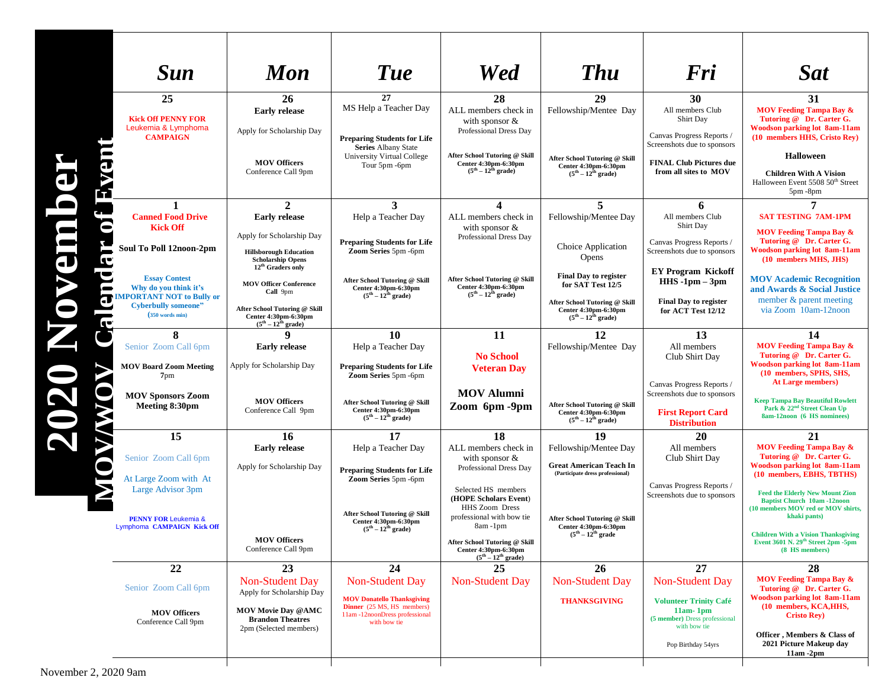|         | <b>Sun</b>                                                                       | <b>Mon</b>                                                                                                              | <b>Tue</b>                                                                                                         | <b>Wed</b>                                                                                  | <b>Thu</b>                                                                                  | Fri                                                                                          | <b>Sat</b>                                                                                                                            |
|---------|----------------------------------------------------------------------------------|-------------------------------------------------------------------------------------------------------------------------|--------------------------------------------------------------------------------------------------------------------|---------------------------------------------------------------------------------------------|---------------------------------------------------------------------------------------------|----------------------------------------------------------------------------------------------|---------------------------------------------------------------------------------------------------------------------------------------|
|         | 25                                                                               | <b>26</b>                                                                                                               | 27                                                                                                                 | 28                                                                                          | 29                                                                                          | 30                                                                                           | 31                                                                                                                                    |
|         | <b>Kick Off PENNY FOR</b><br>Leukemia & Lymphoma<br><b>CAMPAIGN</b>              | <b>Early release</b><br>Apply for Scholarship Day                                                                       | MS Help a Teacher Day<br><b>Preparing Students for Life</b>                                                        | ALL members check in<br>with sponsor $\&$<br>Professional Dress Day                         | Fellowship/Mentee Day                                                                       | All members Club<br>Shirt Day<br>Canvas Progress Reports /                                   | <b>MOV Feeding Tampa Bay &amp;</b><br>Tutoring @ Dr. Carter G.<br><b>Woodson parking lot 8am-11am</b><br>(10 members HHS, Cristo Rev) |
|         |                                                                                  | <b>MOV Officers</b><br>Conference Call 9pm                                                                              | <b>Series Albany State</b><br>University Virtual College<br>Tour 5pm -6pm                                          | After School Tutoring @ Skill<br>Center 4:30pm-6:30pm<br>$(5th – 12th grade)$               | After School Tutoring @ Skill<br>Center 4:30pm-6:30pm<br>$(5th - 12th grade)$               | Screenshots due to sponsors<br><b>FINAL Club Pictures due</b><br>from all sites to MOV       | <b>Halloween</b><br><b>Children With A Vision</b><br>Halloween Event 5508 50th Street<br>5pm -8pm                                     |
| e       | 1                                                                                | $\mathbf{2}$                                                                                                            | 3                                                                                                                  | 4                                                                                           | 5                                                                                           | 6                                                                                            | 7                                                                                                                                     |
|         | <b>Canned Food Drive</b><br><b>Kick Off</b>                                      | <b>Early release</b>                                                                                                    | Help a Teacher Day                                                                                                 | ALL members check in<br>with sponsor $&$                                                    | Fellowship/Mentee Day                                                                       | All members Club<br>Shirt Day                                                                | <b>SAT TESTING 7AM-1PM</b>                                                                                                            |
|         | Soul To Poll 12noon-2pm                                                          | Apply for Scholarship Day<br><b>Hillsborough Education</b><br><b>Scholarship Opens</b><br>12 <sup>th</sup> Graders only | <b>Preparing Students for Life</b><br><b>Zoom Series</b> 5pm -6pm                                                  | Professional Dress Day                                                                      | Choice Application<br>Opens                                                                 | Canvas Progress Reports /<br>Screenshots due to sponsors                                     | <b>MOV Feeding Tampa Bay &amp;</b><br>Tutoring @ Dr. Carter G.<br><b>Woodson parking lot 8am-11am</b><br>(10 members MHS, JHS)        |
|         | <b>Essay Contest</b><br>Why do you think it's<br><b>MPORTANT NOT to Bully or</b> | <b>MOV Officer Conference</b><br>Call 9pm                                                                               | After School Tutoring @ Skill<br>Center 4:30pm-6:30pm<br>$(5th - 12th$ grade)                                      | After School Tutoring @ Skill<br>Center 4:30pm-6:30pm<br>$(5^{th} - 12^{th} \text{ grade})$ | <b>Final Day to register</b><br>for SAT Test 12/5                                           | <b>EY Program Kickoff</b><br>$HHS -1pm -3pm$                                                 | <b>MOV Academic Recognition</b><br>and Awards & Social Justice                                                                        |
| Œ<br>NO | <b>Cyberbully someone"</b><br>$(350$ words min)                                  | After School Tutoring @ Skill<br>Center 4:30pm-6:30pm<br>$(5th - 12th grade)$                                           |                                                                                                                    |                                                                                             | After School Tutoring @ Skill<br>Center 4:30pm-6:30pm<br>$(5th - 12th grade)$               | <b>Final Day to register</b><br>for ACT Test 12/12                                           | member & parent meeting<br>via Zoom 10am-12noon                                                                                       |
|         | 8                                                                                |                                                                                                                         | 10                                                                                                                 | 11                                                                                          | 12                                                                                          | 13                                                                                           | 14                                                                                                                                    |
|         | Senior Zoom Call 6pm<br><b>MOV Board Zoom Meeting</b><br>$7 \text{pm}$           | <b>Early release</b><br>Apply for Scholarship Day                                                                       | Help a Teacher Day<br><b>Preparing Students for Life</b><br>Zoom Series 5pm -6pm                                   | <b>No School</b><br><b>Veteran Day</b>                                                      | Fellowship/Mentee Day                                                                       | All members<br>Club Shirt Day                                                                | <b>MOV Feeding Tampa Bay &amp;</b><br>Tutoring @ Dr. Carter G.<br><b>Woodson parking lot 8am-11am</b><br>(10 members, SPHS, SHS,      |
|         | <b>MOV Sponsors Zoom</b><br>Meeting 8:30pm                                       | <b>MOV Officers</b>                                                                                                     | After School Tutoring @ Skill                                                                                      | <b>MOV Alumni</b>                                                                           | After School Tutoring @ Skill                                                               | Canvas Progress Reports /<br>Screenshots due to sponsors                                     | <b>At Large members)</b><br><b>Keep Tampa Bay Beautiful Rowlett</b>                                                                   |
|         |                                                                                  | Conference Call 9pm                                                                                                     | Center 4:30pm-6:30pm<br>$(5^{th} - 12^{th} \text{ grade})$                                                         | Zoom 6pm -9pm                                                                               | Center 4:30pm-6:30pm<br>$(5th - 12th grade)$                                                | <b>First Report Card</b><br><b>Distribution</b>                                              | Park & 22 <sup>nd</sup> Street Clean Up<br>8am-12noon (6 HS nominees)                                                                 |
|         | 15                                                                               | 16                                                                                                                      | 17                                                                                                                 | 18                                                                                          | 19                                                                                          | 20                                                                                           | 21                                                                                                                                    |
|         | Senior Zoom Call 6pm                                                             | <b>Early release</b><br>Apply for Scholarship Day                                                                       | Help a Teacher Day<br><b>Preparing Students for Life</b>                                                           | ALL members check in<br>with sponsor $&$<br>Professional Dress Day                          | Fellowship/Mentee Day<br><b>Great American Teach In</b><br>(Participate dress professional) | All members<br>Club Shirt Day                                                                | <b>MOV Feeding Tampa Bay &amp;</b><br>Tutoring @ Dr. Carter G.<br><b>Woodson parking lot 8am-11am</b><br>(10 members, EBHS, TBTHS)    |
|         | At Large Zoom with At<br>Large Advisor 3pm                                       |                                                                                                                         | Zoom Series 5pm -6pm<br>After School Tutoring @ Skill                                                              | Selected HS members<br>(HOPE Scholars Event)<br><b>HHS Zoom Dress</b>                       |                                                                                             | Canvas Progress Reports /<br>Screenshots due to sponsors                                     | <b>Feed the Elderly New Mount Zion</b><br><b>Baptist Church 10am -12noon</b><br>(10 members MOV red or MOV shirts,                    |
|         | <b>PENNY FOR Leukemia &amp;</b><br>Lymphoma CAMPAIGN Kick Off                    | <b>MOV Officers</b>                                                                                                     | Center 4:30pm-6:30pm<br>$(5th - 12th grade)$                                                                       | professional with bow tie<br>8am - 1pm<br>After School Tutoring @ Skill                     | After School Tutoring @ Skill<br>Center 4:30pm-6:30pm<br>$(5th - 12th grade)$               |                                                                                              | khaki pants)<br><b>Children With a Vision Thanksgiving</b><br>Event 3601 N. 29th Street 2pm -5pm                                      |
|         |                                                                                  | Conference Call 9pm                                                                                                     |                                                                                                                    | Center 4:30pm-6:30pm<br>$(5th - 12th grade)$                                                |                                                                                             |                                                                                              | (8 HS members)                                                                                                                        |
|         | 22                                                                               | 23                                                                                                                      | 24                                                                                                                 | 25                                                                                          | 26                                                                                          | 27                                                                                           | 28                                                                                                                                    |
|         | Senior Zoom Call 6pm                                                             | <b>Non-Student Day</b><br>Apply for Scholarship Day                                                                     | <b>Non-Student Day</b>                                                                                             | Non-Student Day                                                                             | <b>Non-Student Day</b>                                                                      | <b>Non-Student Day</b>                                                                       | <b>MOV Feeding Tampa Bay &amp;</b><br>Tutoring @ Dr. Carter G.<br><b>Woodson parking lot 8am-11am</b>                                 |
|         | <b>MOV Officers</b><br>Conference Call 9pm                                       | <b>MOV Movie Day @AMC</b><br><b>Brandon Theatres</b><br>2pm (Selected members)                                          | <b>MOV Donatello Thanksgiving</b><br>Dinner (25 MS, HS members)<br>11am - 12noonDress professional<br>with bow tie |                                                                                             | <b>THANKSGIVING</b>                                                                         | <b>Volunteer Trinity Café</b><br>$11am-1pm$<br>(5 member) Dress professional<br>with bow tie | (10 members, KCA, HHS,<br><b>Cristo Rey)</b>                                                                                          |
|         |                                                                                  |                                                                                                                         |                                                                                                                    |                                                                                             |                                                                                             | Pop Birthday 54yrs                                                                           | Officer, Members & Class of<br>2021 Picture Makeup day<br>$11am - 2pm$                                                                |